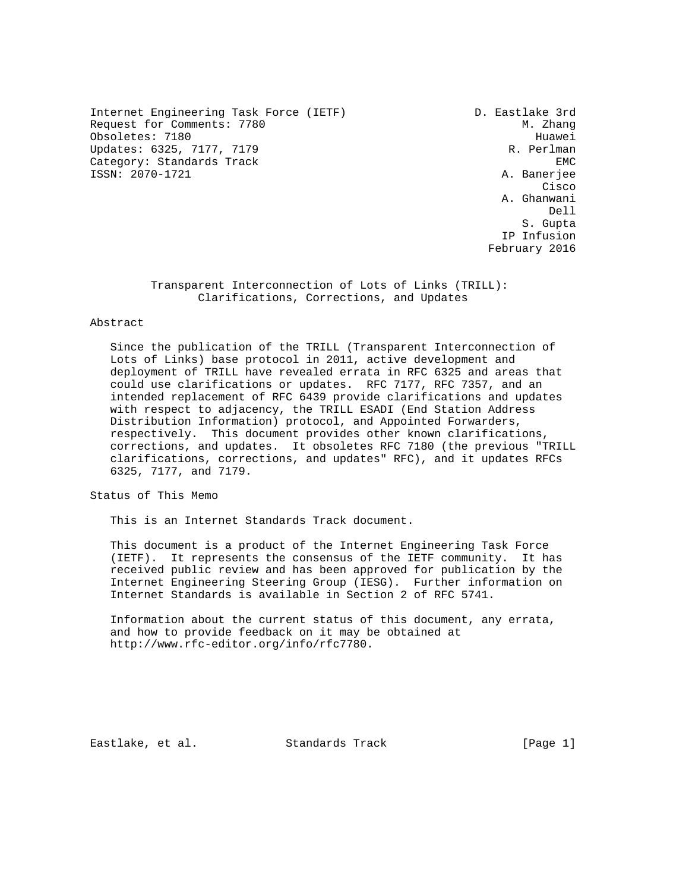Internet Engineering Task Force (IETF) D. Eastlake 3rd Request for Comments: 7780 M. Zhang Obsoletes: 7180 Huawei Updates: 6325, 7177, 7179 R. Perlman Category: Standards Track EMC EMC EMC ISSN: 2070-1721 A. Banerjee

**Cisco de la contrata de la contrata de la contrata de la contrata de la contrata de la contrata de la contrat**  A. Ghanwani Dell S. Gupta and the contract of the contract of the contract of the contract of the contract of the contract of the contract of the contract of the contract of the contract of the contract of the contract of the contract of t IP Infusion February 2016

> Transparent Interconnection of Lots of Links (TRILL): Clarifications, Corrections, and Updates

#### Abstract

 Since the publication of the TRILL (Transparent Interconnection of Lots of Links) base protocol in 2011, active development and deployment of TRILL have revealed errata in RFC 6325 and areas that could use clarifications or updates. RFC 7177, RFC 7357, and an intended replacement of RFC 6439 provide clarifications and updates with respect to adjacency, the TRILL ESADI (End Station Address Distribution Information) protocol, and Appointed Forwarders, respectively. This document provides other known clarifications, corrections, and updates. It obsoletes RFC 7180 (the previous "TRILL clarifications, corrections, and updates" RFC), and it updates RFCs 6325, 7177, and 7179.

Status of This Memo

This is an Internet Standards Track document.

 This document is a product of the Internet Engineering Task Force (IETF). It represents the consensus of the IETF community. It has received public review and has been approved for publication by the Internet Engineering Steering Group (IESG). Further information on Internet Standards is available in Section 2 of RFC 5741.

 Information about the current status of this document, any errata, and how to provide feedback on it may be obtained at http://www.rfc-editor.org/info/rfc7780.

Eastlake, et al. Standards Track [Page 1]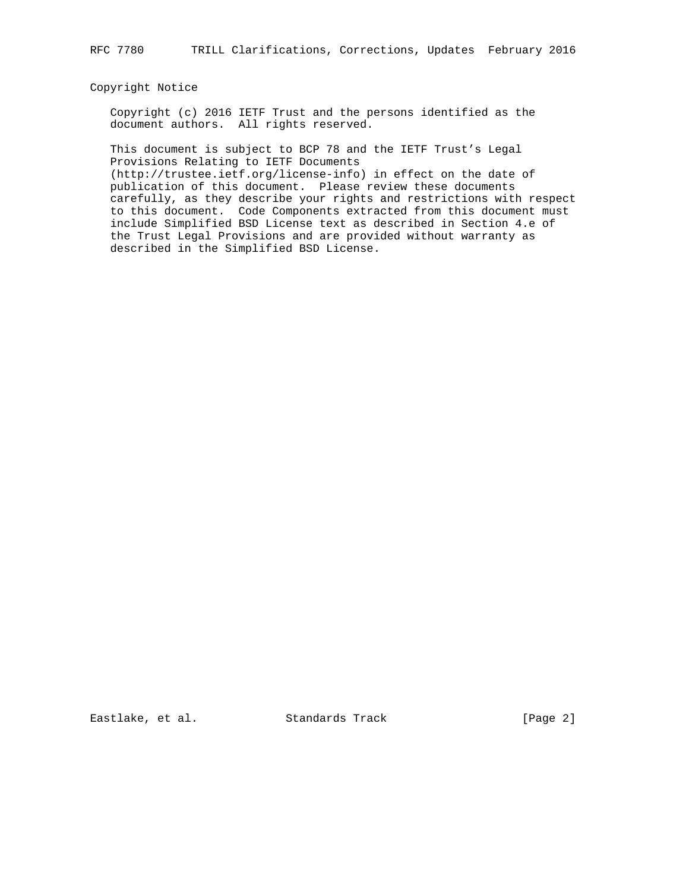## Copyright Notice

 Copyright (c) 2016 IETF Trust and the persons identified as the document authors. All rights reserved.

 This document is subject to BCP 78 and the IETF Trust's Legal Provisions Relating to IETF Documents

 (http://trustee.ietf.org/license-info) in effect on the date of publication of this document. Please review these documents carefully, as they describe your rights and restrictions with respect to this document. Code Components extracted from this document must include Simplified BSD License text as described in Section 4.e of the Trust Legal Provisions and are provided without warranty as described in the Simplified BSD License.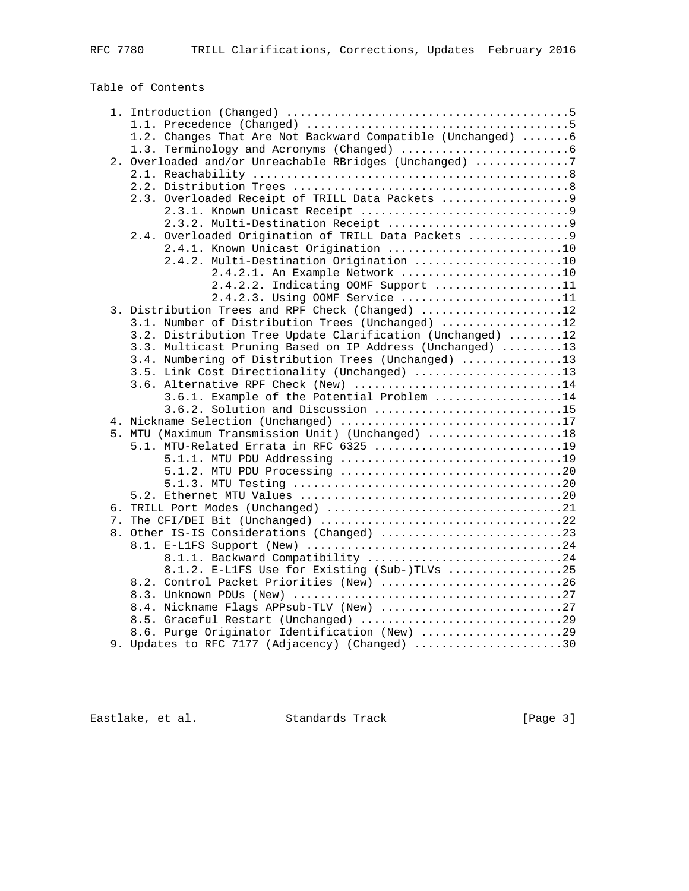Table of Contents

|  | 1.2. Changes That Are Not Backward Compatible (Unchanged) 6 |  |
|--|-------------------------------------------------------------|--|
|  |                                                             |  |
|  | 2. Overloaded and/or Unreachable RBridges (Unchanged) 7     |  |
|  |                                                             |  |
|  |                                                             |  |
|  | 2.3. Overloaded Receipt of TRILL Data Packets  9            |  |
|  |                                                             |  |
|  |                                                             |  |
|  | 2.4. Overloaded Origination of TRILL Data Packets  9        |  |
|  | 2.4.1. Known Unicast Origination 10                         |  |
|  | 2.4.2. Multi-Destination Origination 10                     |  |
|  | 2.4.2.1. An Example Network 10                              |  |
|  | 2.4.2.2. Indicating OOMF Support 11                         |  |
|  | 2.4.2.3. Using OOMF Service 11                              |  |
|  | 3. Distribution Trees and RPF Check (Changed) 12            |  |
|  | 3.1. Number of Distribution Trees (Unchanged) 12            |  |
|  | 3.2. Distribution Tree Update Clarification (Unchanged) 12  |  |
|  | 3.3. Multicast Pruning Based on IP Address (Unchanged) 13   |  |
|  | 3.4. Numbering of Distribution Trees (Unchanged) 13         |  |
|  | 3.5. Link Cost Directionality (Unchanged) 13                |  |
|  |                                                             |  |
|  | 3.6. Alternative RPF Check (New) 14                         |  |
|  | 3.6.1. Example of the Potential Problem 14                  |  |
|  | 3.6.2. Solution and Discussion 15                           |  |
|  | 4. Nickname Selection (Unchanged) 17                        |  |
|  | 5. MTU (Maximum Transmission Unit) (Unchanged) 18           |  |
|  | 5.1. MTU-Related Errata in RFC 6325 19                      |  |
|  |                                                             |  |
|  |                                                             |  |
|  |                                                             |  |
|  |                                                             |  |
|  |                                                             |  |
|  |                                                             |  |
|  | 8. Other IS-IS Considerations (Changed) 23                  |  |
|  |                                                             |  |
|  | 8.1.1. Backward Compatibility 24                            |  |
|  | 8.1.2. E-L1FS Use for Existing (Sub-)TLVs 25                |  |
|  | 8.2. Control Packet Priorities (New) 26                     |  |
|  |                                                             |  |
|  | 8.4. Nickname Flags APPsub-TLV (New) 27                     |  |
|  | 8.5. Graceful Restart (Unchanged) 29                        |  |
|  | 8.6. Purge Originator Identification (New) 29               |  |
|  | 9. Updates to RFC 7177 (Adjacency) (Changed) 30             |  |
|  |                                                             |  |

Eastlake, et al. Standards Track [Page 3]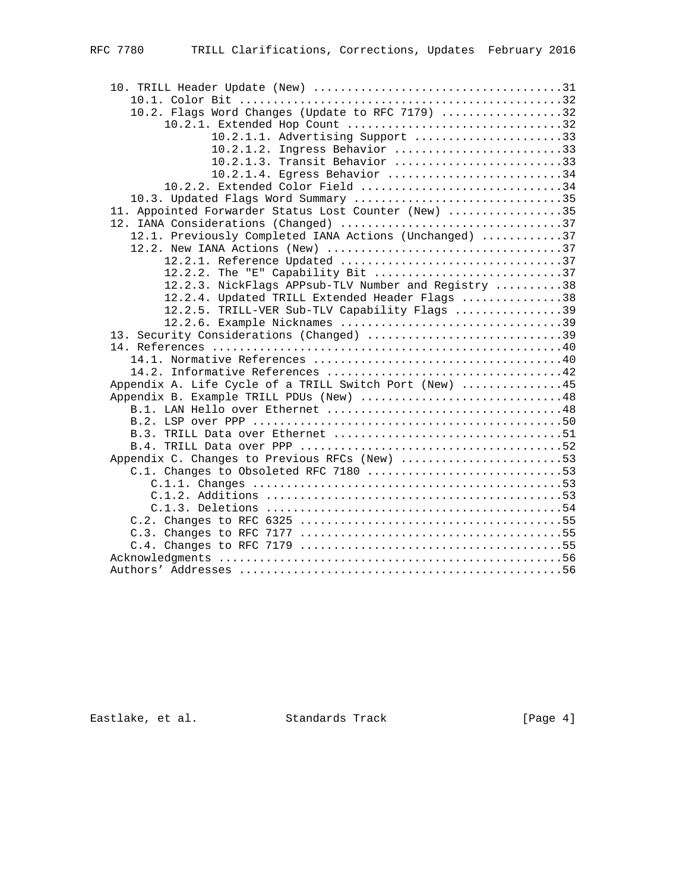| 10.2. Flags Word Changes (Update to RFC 7179) 32       |  |
|--------------------------------------------------------|--|
| 10.2.1. Extended Hop Count 32                          |  |
| 10.2.1.1. Advertising Support 33                       |  |
| 10.2.1.2. Ingress Behavior 33                          |  |
| 10.2.1.3. Transit Behavior 33                          |  |
| 10.2.1.4. Egress Behavior 34                           |  |
| 10.2.2. Extended Color Field 34                        |  |
| 10.3. Updated Flags Word Summary 35                    |  |
| 11. Appointed Forwarder Status Lost Counter (New) 35   |  |
| 12. IANA Considerations (Changed) 37                   |  |
| 12.1. Previously Completed IANA Actions (Unchanged) 37 |  |
|                                                        |  |
|                                                        |  |
| 12.2.2. The "E" Capability Bit 37                      |  |
| 12.2.3. NickFlags APPsub-TLV Number and Registry 38    |  |
| 12.2.4. Updated TRILL Extended Header Flags 38         |  |
| 12.2.5. TRILL-VER Sub-TLV Capability Flags 39          |  |
| 12.2.6. Example Nicknames 39                           |  |
| 13. Security Considerations (Changed) 39               |  |
|                                                        |  |
|                                                        |  |
|                                                        |  |
| Appendix A. Life Cycle of a TRILL Switch Port (New) 45 |  |
| Appendix B. Example TRILL PDUs (New) 48                |  |
|                                                        |  |
|                                                        |  |
|                                                        |  |
|                                                        |  |
| Appendix C. Changes to Previous RFCs (New) 53          |  |
| C.1. Changes to Obsoleted RFC 7180 53                  |  |
|                                                        |  |
|                                                        |  |
|                                                        |  |
|                                                        |  |
|                                                        |  |
|                                                        |  |
|                                                        |  |
|                                                        |  |

Eastlake, et al. Standards Track [Page 4]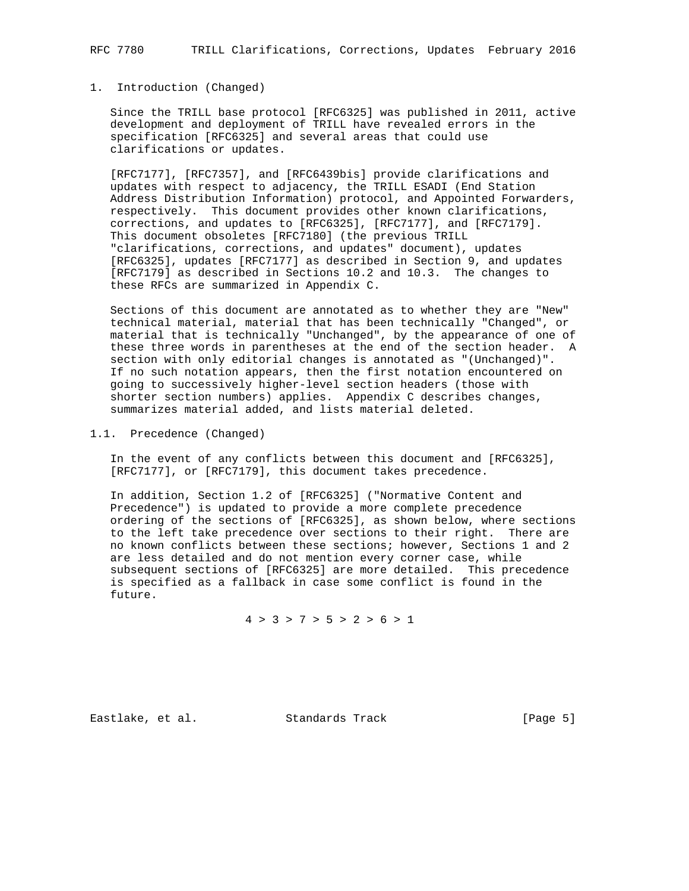### 1. Introduction (Changed)

 Since the TRILL base protocol [RFC6325] was published in 2011, active development and deployment of TRILL have revealed errors in the specification [RFC6325] and several areas that could use clarifications or updates.

 [RFC7177], [RFC7357], and [RFC6439bis] provide clarifications and updates with respect to adjacency, the TRILL ESADI (End Station Address Distribution Information) protocol, and Appointed Forwarders, respectively. This document provides other known clarifications, corrections, and updates to [RFC6325], [RFC7177], and [RFC7179]. This document obsoletes [RFC7180] (the previous TRILL "clarifications, corrections, and updates" document), updates [RFC6325], updates [RFC7177] as described in Section 9, and updates [RFC7179] as described in Sections 10.2 and 10.3. The changes to these RFCs are summarized in Appendix C.

 Sections of this document are annotated as to whether they are "New" technical material, material that has been technically "Changed", or material that is technically "Unchanged", by the appearance of one of these three words in parentheses at the end of the section header. A section with only editorial changes is annotated as "(Unchanged)". If no such notation appears, then the first notation encountered on going to successively higher-level section headers (those with shorter section numbers) applies. Appendix C describes changes, summarizes material added, and lists material deleted.

1.1. Precedence (Changed)

 In the event of any conflicts between this document and [RFC6325], [RFC7177], or [RFC7179], this document takes precedence.

 In addition, Section 1.2 of [RFC6325] ("Normative Content and Precedence") is updated to provide a more complete precedence ordering of the sections of [RFC6325], as shown below, where sections to the left take precedence over sections to their right. There are no known conflicts between these sections; however, Sections 1 and 2 are less detailed and do not mention every corner case, while subsequent sections of [RFC6325] are more detailed. This precedence is specified as a fallback in case some conflict is found in the future.

 $4 > 3 > 7 > 5 > 2 > 6 > 1$ 

Eastlake, et al. Standards Track [Page 5]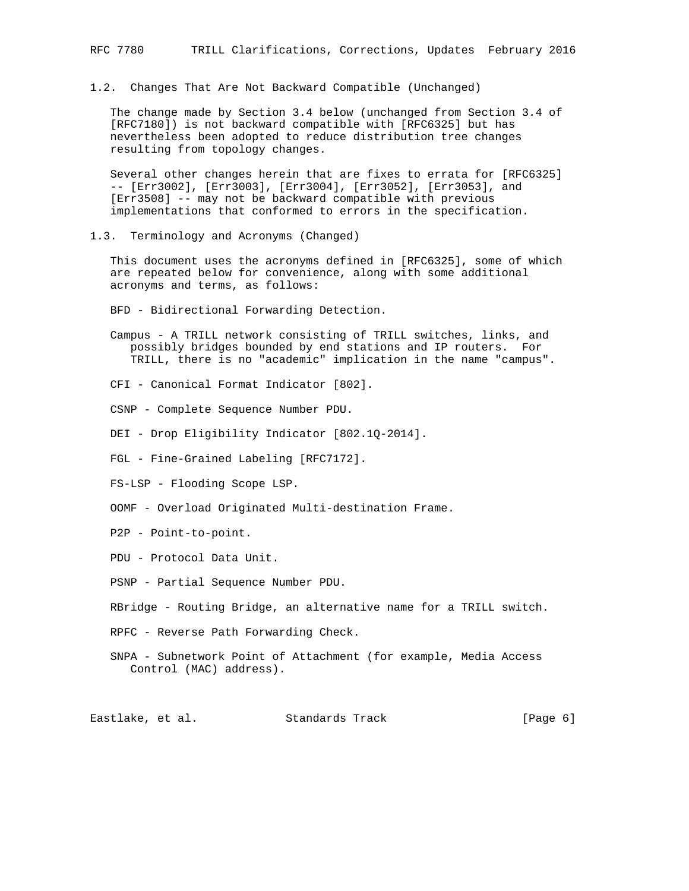1.2. Changes That Are Not Backward Compatible (Unchanged)

 The change made by Section 3.4 below (unchanged from Section 3.4 of [RFC7180]) is not backward compatible with [RFC6325] but has nevertheless been adopted to reduce distribution tree changes resulting from topology changes.

 Several other changes herein that are fixes to errata for [RFC6325] -- [Err3002], [Err3003], [Err3004], [Err3052], [Err3053], and [Err3508] -- may not be backward compatible with previous implementations that conformed to errors in the specification.

1.3. Terminology and Acronyms (Changed)

 This document uses the acronyms defined in [RFC6325], some of which are repeated below for convenience, along with some additional acronyms and terms, as follows:

BFD - Bidirectional Forwarding Detection.

 Campus - A TRILL network consisting of TRILL switches, links, and possibly bridges bounded by end stations and IP routers. For TRILL, there is no "academic" implication in the name "campus".

CFI - Canonical Format Indicator [802].

CSNP - Complete Sequence Number PDU.

DEI - Drop Eligibility Indicator [802.1Q-2014].

FGL - Fine-Grained Labeling [RFC7172].

FS-LSP - Flooding Scope LSP.

OOMF - Overload Originated Multi-destination Frame.

P2P - Point-to-point.

PDU - Protocol Data Unit.

PSNP - Partial Sequence Number PDU.

RBridge - Routing Bridge, an alternative name for a TRILL switch.

RPFC - Reverse Path Forwarding Check.

 SNPA - Subnetwork Point of Attachment (for example, Media Access Control (MAC) address).

Eastlake, et al. Standards Track [Page 6]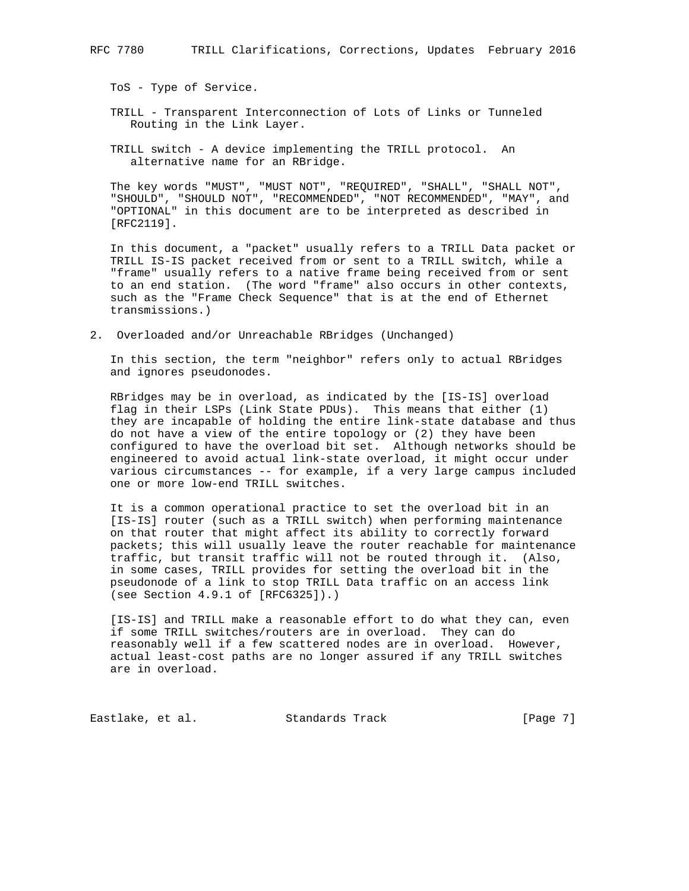ToS - Type of Service.

- TRILL Transparent Interconnection of Lots of Links or Tunneled Routing in the Link Layer.
- TRILL switch A device implementing the TRILL protocol. An alternative name for an RBridge.

 The key words "MUST", "MUST NOT", "REQUIRED", "SHALL", "SHALL NOT", "SHOULD", "SHOULD NOT", "RECOMMENDED", "NOT RECOMMENDED", "MAY", and "OPTIONAL" in this document are to be interpreted as described in [RFC2119].

 In this document, a "packet" usually refers to a TRILL Data packet or TRILL IS-IS packet received from or sent to a TRILL switch, while a "frame" usually refers to a native frame being received from or sent to an end station. (The word "frame" also occurs in other contexts, such as the "Frame Check Sequence" that is at the end of Ethernet transmissions.)

2. Overloaded and/or Unreachable RBridges (Unchanged)

 In this section, the term "neighbor" refers only to actual RBridges and ignores pseudonodes.

 RBridges may be in overload, as indicated by the [IS-IS] overload flag in their LSPs (Link State PDUs). This means that either (1) they are incapable of holding the entire link-state database and thus do not have a view of the entire topology or (2) they have been configured to have the overload bit set. Although networks should be engineered to avoid actual link-state overload, it might occur under various circumstances -- for example, if a very large campus included one or more low-end TRILL switches.

 It is a common operational practice to set the overload bit in an [IS-IS] router (such as a TRILL switch) when performing maintenance on that router that might affect its ability to correctly forward packets; this will usually leave the router reachable for maintenance traffic, but transit traffic will not be routed through it. (Also, in some cases, TRILL provides for setting the overload bit in the pseudonode of a link to stop TRILL Data traffic on an access link (see Section 4.9.1 of [RFC6325]).)

 [IS-IS] and TRILL make a reasonable effort to do what they can, even if some TRILL switches/routers are in overload. They can do reasonably well if a few scattered nodes are in overload. However, actual least-cost paths are no longer assured if any TRILL switches are in overload.

Eastlake, et al. Standards Track [Page 7]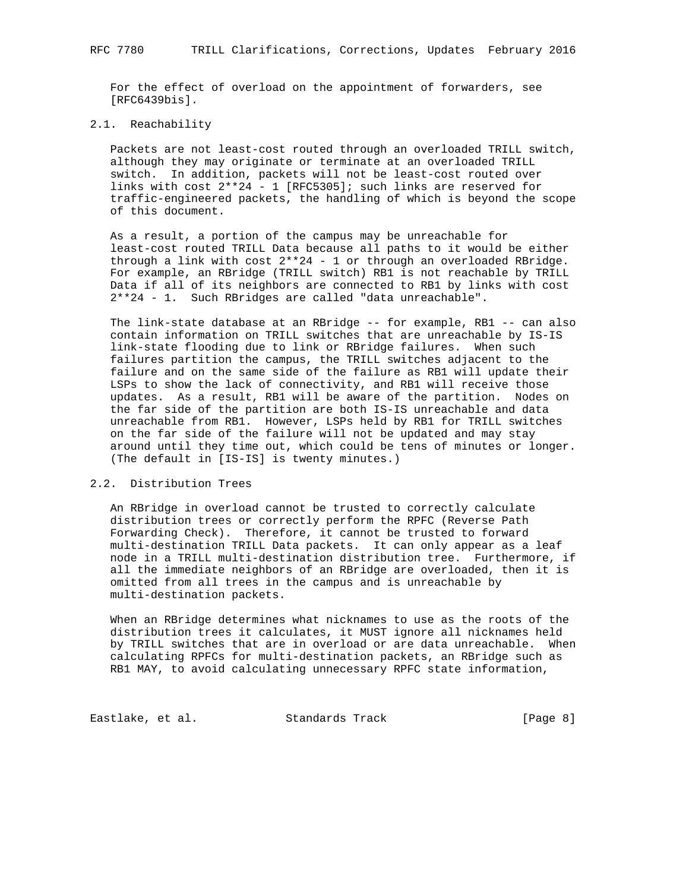For the effect of overload on the appointment of forwarders, see [RFC6439bis].

## 2.1. Reachability

 Packets are not least-cost routed through an overloaded TRILL switch, although they may originate or terminate at an overloaded TRILL switch. In addition, packets will not be least-cost routed over links with cost 2\*\*24 - 1 [RFC5305]; such links are reserved for traffic-engineered packets, the handling of which is beyond the scope of this document.

 As a result, a portion of the campus may be unreachable for least-cost routed TRILL Data because all paths to it would be either through a link with cost 2\*\*24 - 1 or through an overloaded RBridge. For example, an RBridge (TRILL switch) RB1 is not reachable by TRILL Data if all of its neighbors are connected to RB1 by links with cost 2\*\*24 - 1. Such RBridges are called "data unreachable".

 The link-state database at an RBridge -- for example, RB1 -- can also contain information on TRILL switches that are unreachable by IS-IS link-state flooding due to link or RBridge failures. When such failures partition the campus, the TRILL switches adjacent to the failure and on the same side of the failure as RB1 will update their LSPs to show the lack of connectivity, and RB1 will receive those updates. As a result, RB1 will be aware of the partition. Nodes on the far side of the partition are both IS-IS unreachable and data unreachable from RB1. However, LSPs held by RB1 for TRILL switches on the far side of the failure will not be updated and may stay around until they time out, which could be tens of minutes or longer. (The default in [IS-IS] is twenty minutes.)

### 2.2. Distribution Trees

 An RBridge in overload cannot be trusted to correctly calculate distribution trees or correctly perform the RPFC (Reverse Path Forwarding Check). Therefore, it cannot be trusted to forward multi-destination TRILL Data packets. It can only appear as a leaf node in a TRILL multi-destination distribution tree. Furthermore, if all the immediate neighbors of an RBridge are overloaded, then it is omitted from all trees in the campus and is unreachable by multi-destination packets.

 When an RBridge determines what nicknames to use as the roots of the distribution trees it calculates, it MUST ignore all nicknames held by TRILL switches that are in overload or are data unreachable. When calculating RPFCs for multi-destination packets, an RBridge such as RB1 MAY, to avoid calculating unnecessary RPFC state information,

Eastlake, et al. Standards Track [Page 8]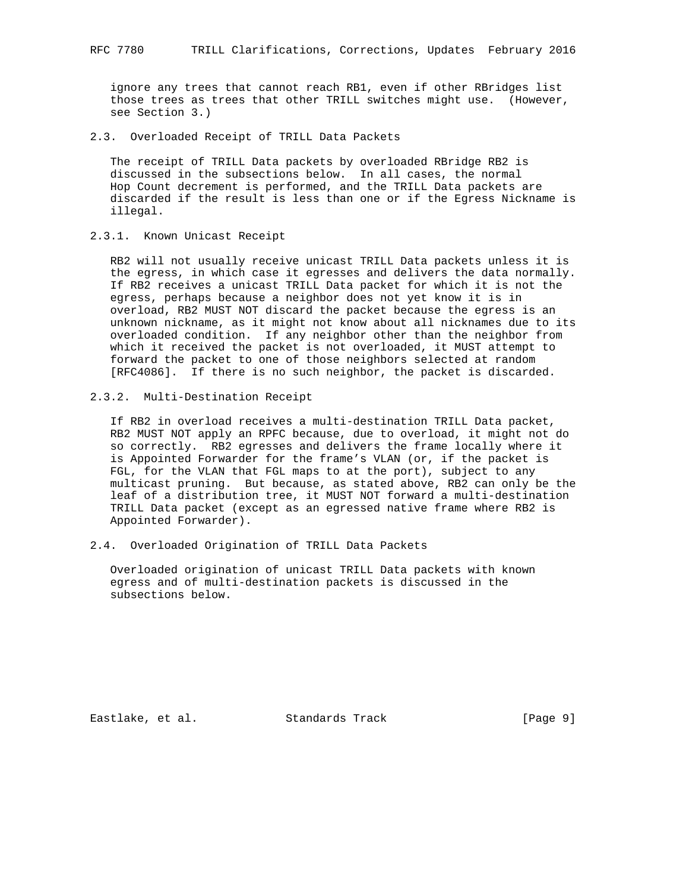ignore any trees that cannot reach RB1, even if other RBridges list those trees as trees that other TRILL switches might use. (However, see Section 3.)

2.3. Overloaded Receipt of TRILL Data Packets

 The receipt of TRILL Data packets by overloaded RBridge RB2 is discussed in the subsections below. In all cases, the normal Hop Count decrement is performed, and the TRILL Data packets are discarded if the result is less than one or if the Egress Nickname is illegal.

2.3.1. Known Unicast Receipt

 RB2 will not usually receive unicast TRILL Data packets unless it is the egress, in which case it egresses and delivers the data normally. If RB2 receives a unicast TRILL Data packet for which it is not the egress, perhaps because a neighbor does not yet know it is in overload, RB2 MUST NOT discard the packet because the egress is an unknown nickname, as it might not know about all nicknames due to its overloaded condition. If any neighbor other than the neighbor from which it received the packet is not overloaded, it MUST attempt to forward the packet to one of those neighbors selected at random [RFC4086]. If there is no such neighbor, the packet is discarded.

2.3.2. Multi-Destination Receipt

 If RB2 in overload receives a multi-destination TRILL Data packet, RB2 MUST NOT apply an RPFC because, due to overload, it might not do so correctly. RB2 egresses and delivers the frame locally where it is Appointed Forwarder for the frame's VLAN (or, if the packet is FGL, for the VLAN that FGL maps to at the port), subject to any multicast pruning. But because, as stated above, RB2 can only be the leaf of a distribution tree, it MUST NOT forward a multi-destination TRILL Data packet (except as an egressed native frame where RB2 is Appointed Forwarder).

2.4. Overloaded Origination of TRILL Data Packets

 Overloaded origination of unicast TRILL Data packets with known egress and of multi-destination packets is discussed in the subsections below.

Eastlake, et al. Standards Track [Page 9]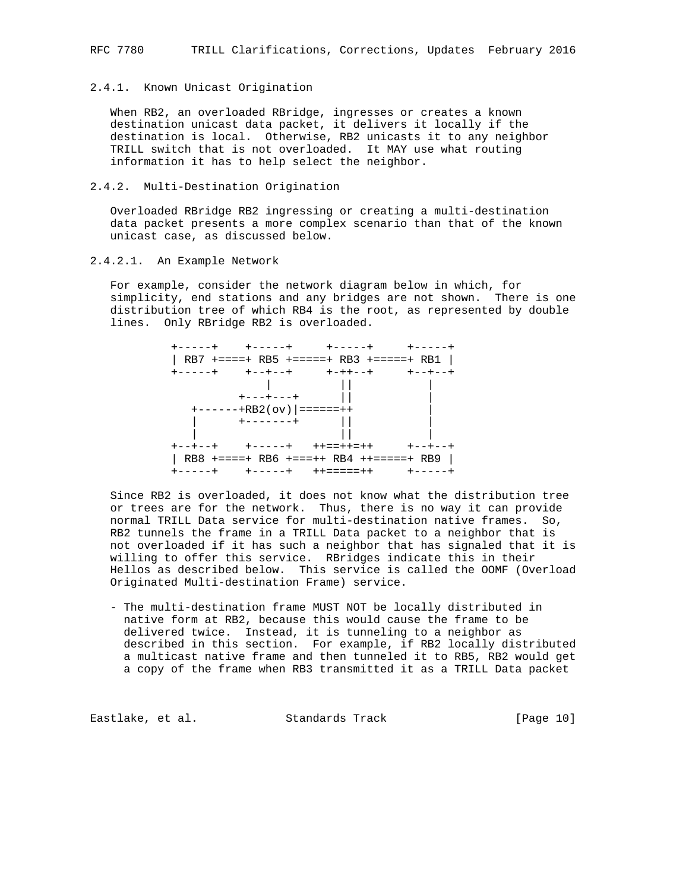## 2.4.1. Known Unicast Origination

 When RB2, an overloaded RBridge, ingresses or creates a known destination unicast data packet, it delivers it locally if the destination is local. Otherwise, RB2 unicasts it to any neighbor TRILL switch that is not overloaded. It MAY use what routing information it has to help select the neighbor.

# 2.4.2. Multi-Destination Origination

 Overloaded RBridge RB2 ingressing or creating a multi-destination data packet presents a more complex scenario than that of the known unicast case, as discussed below.

#### 2.4.2.1. An Example Network

 For example, consider the network diagram below in which, for simplicity, end stations and any bridges are not shown. There is one distribution tree of which RB4 is the root, as represented by double lines. Only RBridge RB2 is overloaded.

|  |                                                                     | +-----+ +-----+ +-----+ +-----+                |         |
|--|---------------------------------------------------------------------|------------------------------------------------|---------|
|  |                                                                     | RB7 +====+ RB5 +=====+ RB3 +=====+ RB1         |         |
|  |                                                                     | +-----+ +--+--+ +-++--+ +--+--+                |         |
|  | $\mathbf{1}$ and $\mathbf{1}$ and $\mathbf{1}$<br>$+ - - + - - - +$ |                                                |         |
|  |                                                                     |                                                |         |
|  | $+---+RB2 (ov)$ =====++                                             |                                                |         |
|  | $+ - - - - - - +$                                                   |                                                |         |
|  | +--+--+ +-----+ ++==++=++                                           |                                                | +--+--+ |
|  |                                                                     | $RB8$ +====+ $RB6$ +===++ $RB4$ ++=====+ $RB9$ |         |
|  | +-----+ +-----+ ++=====++                                           |                                                | +-----+ |

 Since RB2 is overloaded, it does not know what the distribution tree or trees are for the network. Thus, there is no way it can provide normal TRILL Data service for multi-destination native frames. So, RB2 tunnels the frame in a TRILL Data packet to a neighbor that is not overloaded if it has such a neighbor that has signaled that it is willing to offer this service. RBridges indicate this in their Hellos as described below. This service is called the OOMF (Overload Originated Multi-destination Frame) service.

 - The multi-destination frame MUST NOT be locally distributed in native form at RB2, because this would cause the frame to be delivered twice. Instead, it is tunneling to a neighbor as described in this section. For example, if RB2 locally distributed a multicast native frame and then tunneled it to RB5, RB2 would get a copy of the frame when RB3 transmitted it as a TRILL Data packet

Eastlake, et al. Standards Track [Page 10]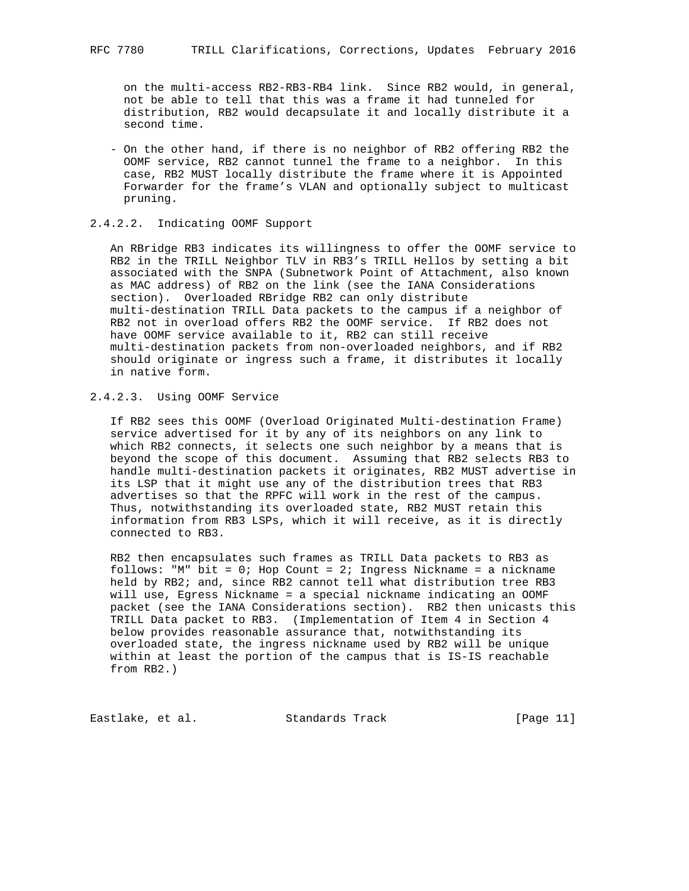on the multi-access RB2-RB3-RB4 link. Since RB2 would, in general, not be able to tell that this was a frame it had tunneled for distribution, RB2 would decapsulate it and locally distribute it a second time.

 - On the other hand, if there is no neighbor of RB2 offering RB2 the OOMF service, RB2 cannot tunnel the frame to a neighbor. In this case, RB2 MUST locally distribute the frame where it is Appointed Forwarder for the frame's VLAN and optionally subject to multicast pruning.

#### 2.4.2.2. Indicating OOMF Support

 An RBridge RB3 indicates its willingness to offer the OOMF service to RB2 in the TRILL Neighbor TLV in RB3's TRILL Hellos by setting a bit associated with the SNPA (Subnetwork Point of Attachment, also known as MAC address) of RB2 on the link (see the IANA Considerations section). Overloaded RBridge RB2 can only distribute multi-destination TRILL Data packets to the campus if a neighbor of RB2 not in overload offers RB2 the OOMF service. If RB2 does not have OOMF service available to it, RB2 can still receive multi-destination packets from non-overloaded neighbors, and if RB2 should originate or ingress such a frame, it distributes it locally in native form.

# 2.4.2.3. Using OOMF Service

 If RB2 sees this OOMF (Overload Originated Multi-destination Frame) service advertised for it by any of its neighbors on any link to which RB2 connects, it selects one such neighbor by a means that is beyond the scope of this document. Assuming that RB2 selects RB3 to handle multi-destination packets it originates, RB2 MUST advertise in its LSP that it might use any of the distribution trees that RB3 advertises so that the RPFC will work in the rest of the campus. Thus, notwithstanding its overloaded state, RB2 MUST retain this information from RB3 LSPs, which it will receive, as it is directly connected to RB3.

 RB2 then encapsulates such frames as TRILL Data packets to RB3 as follows: "M" bit = 0; Hop Count = 2; Ingress Nickname = a nickname held by RB2; and, since RB2 cannot tell what distribution tree RB3 will use, Egress Nickname = a special nickname indicating an OOMF packet (see the IANA Considerations section). RB2 then unicasts this TRILL Data packet to RB3. (Implementation of Item 4 in Section 4 below provides reasonable assurance that, notwithstanding its overloaded state, the ingress nickname used by RB2 will be unique within at least the portion of the campus that is IS-IS reachable from RB2.)

Eastlake, et al. Standards Track [Page 11]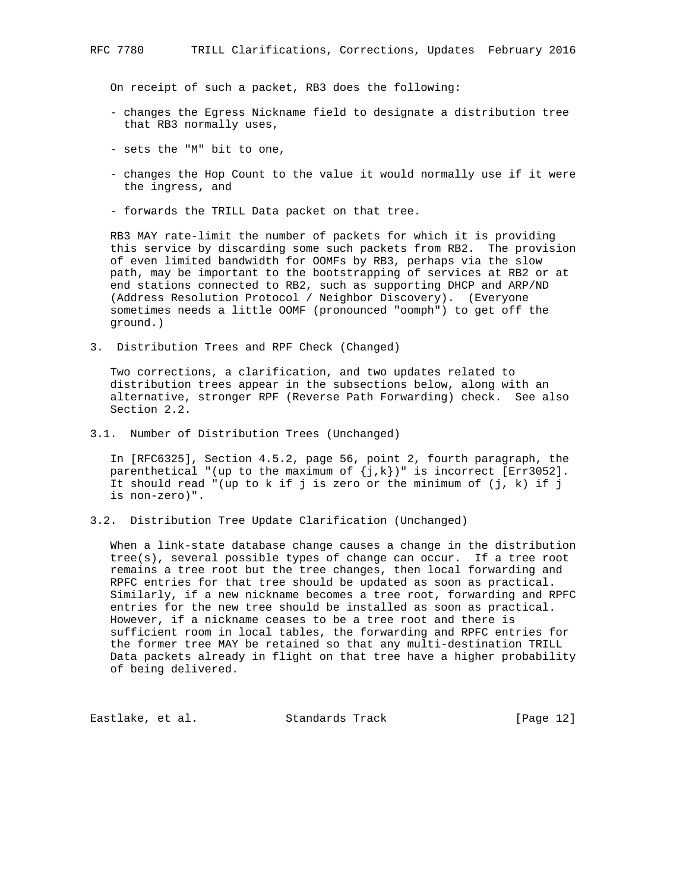On receipt of such a packet, RB3 does the following:

- changes the Egress Nickname field to designate a distribution tree that RB3 normally uses,
- sets the "M" bit to one,
- changes the Hop Count to the value it would normally use if it were the ingress, and
- forwards the TRILL Data packet on that tree.

 RB3 MAY rate-limit the number of packets for which it is providing this service by discarding some such packets from RB2. The provision of even limited bandwidth for OOMFs by RB3, perhaps via the slow path, may be important to the bootstrapping of services at RB2 or at end stations connected to RB2, such as supporting DHCP and ARP/ND (Address Resolution Protocol / Neighbor Discovery). (Everyone sometimes needs a little OOMF (pronounced "oomph") to get off the ground.)

3. Distribution Trees and RPF Check (Changed)

 Two corrections, a clarification, and two updates related to distribution trees appear in the subsections below, along with an alternative, stronger RPF (Reverse Path Forwarding) check. See also Section 2.2.

3.1. Number of Distribution Trees (Unchanged)

 In [RFC6325], Section 4.5.2, page 56, point 2, fourth paragraph, the parenthetical "(up to the maximum of  $\{j,k\}$ )" is incorrect [Err3052]. It should read "(up to k if j is zero or the minimum of  $(j, k)$  if j is non-zero)".

3.2. Distribution Tree Update Clarification (Unchanged)

 When a link-state database change causes a change in the distribution tree(s), several possible types of change can occur. If a tree root remains a tree root but the tree changes, then local forwarding and RPFC entries for that tree should be updated as soon as practical. Similarly, if a new nickname becomes a tree root, forwarding and RPFC entries for the new tree should be installed as soon as practical. However, if a nickname ceases to be a tree root and there is sufficient room in local tables, the forwarding and RPFC entries for the former tree MAY be retained so that any multi-destination TRILL Data packets already in flight on that tree have a higher probability of being delivered.

Eastlake, et al. Standards Track [Page 12]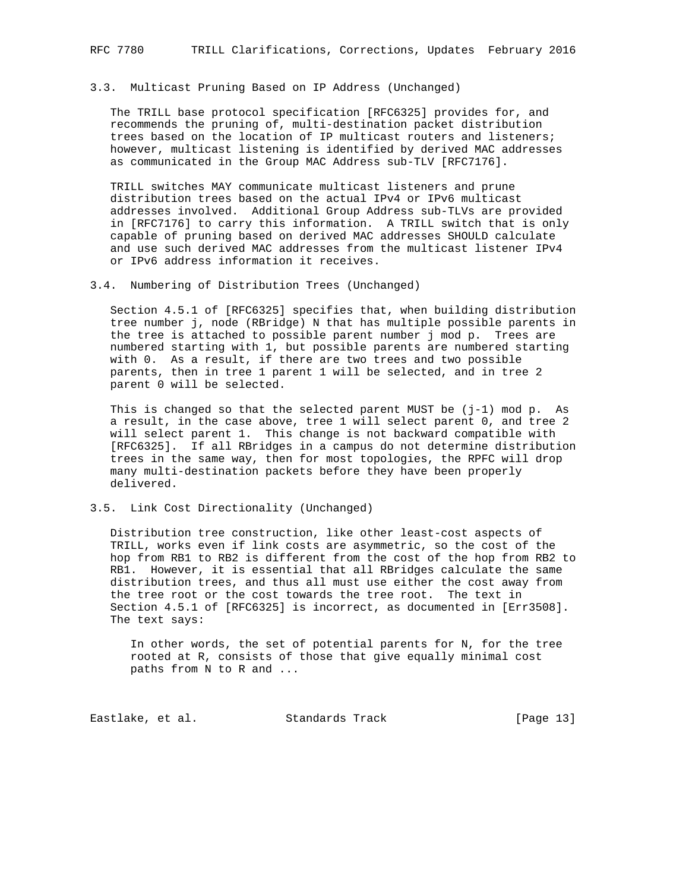#### 3.3. Multicast Pruning Based on IP Address (Unchanged)

 The TRILL base protocol specification [RFC6325] provides for, and recommends the pruning of, multi-destination packet distribution trees based on the location of IP multicast routers and listeners; however, multicast listening is identified by derived MAC addresses as communicated in the Group MAC Address sub-TLV [RFC7176].

 TRILL switches MAY communicate multicast listeners and prune distribution trees based on the actual IPv4 or IPv6 multicast addresses involved. Additional Group Address sub-TLVs are provided in [RFC7176] to carry this information. A TRILL switch that is only capable of pruning based on derived MAC addresses SHOULD calculate and use such derived MAC addresses from the multicast listener IPv4 or IPv6 address information it receives.

3.4. Numbering of Distribution Trees (Unchanged)

 Section 4.5.1 of [RFC6325] specifies that, when building distribution tree number j, node (RBridge) N that has multiple possible parents in the tree is attached to possible parent number j mod p. Trees are numbered starting with 1, but possible parents are numbered starting with 0. As a result, if there are two trees and two possible parents, then in tree 1 parent 1 will be selected, and in tree 2 parent 0 will be selected.

This is changed so that the selected parent MUST be  $(j-1)$  mod p. As a result, in the case above, tree 1 will select parent 0, and tree 2 will select parent 1. This change is not backward compatible with [RFC6325]. If all RBridges in a campus do not determine distribution trees in the same way, then for most topologies, the RPFC will drop many multi-destination packets before they have been properly delivered.

#### 3.5. Link Cost Directionality (Unchanged)

 Distribution tree construction, like other least-cost aspects of TRILL, works even if link costs are asymmetric, so the cost of the hop from RB1 to RB2 is different from the cost of the hop from RB2 to RB1. However, it is essential that all RBridges calculate the same distribution trees, and thus all must use either the cost away from the tree root or the cost towards the tree root. The text in Section 4.5.1 of [RFC6325] is incorrect, as documented in [Err3508]. The text says:

 In other words, the set of potential parents for N, for the tree rooted at R, consists of those that give equally minimal cost paths from N to R and ...

Eastlake, et al. Standards Track [Page 13]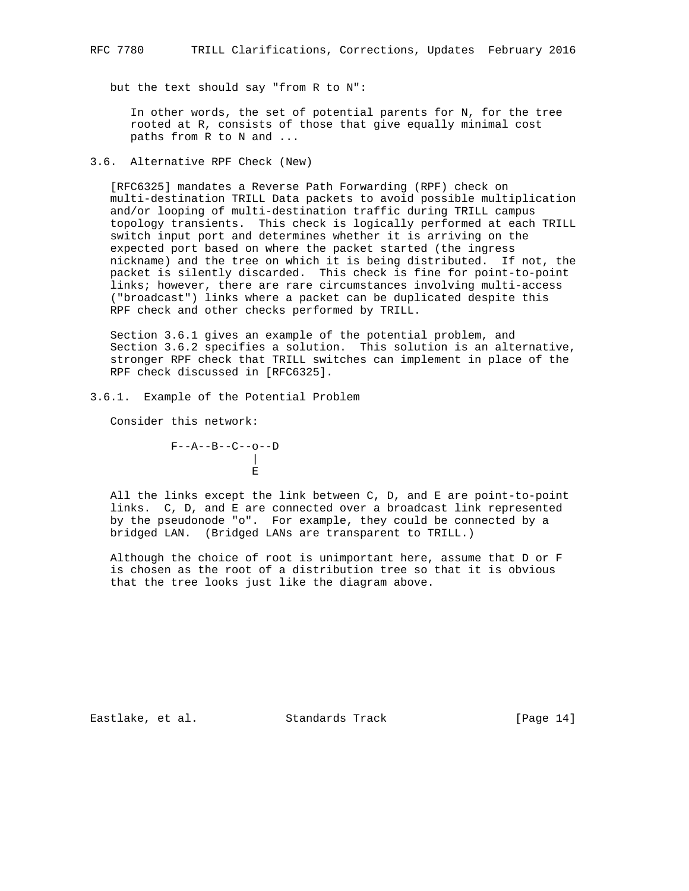but the text should say "from R to N":

 In other words, the set of potential parents for N, for the tree rooted at R, consists of those that give equally minimal cost paths from R to N and ...

#### 3.6. Alternative RPF Check (New)

 [RFC6325] mandates a Reverse Path Forwarding (RPF) check on multi-destination TRILL Data packets to avoid possible multiplication and/or looping of multi-destination traffic during TRILL campus topology transients. This check is logically performed at each TRILL switch input port and determines whether it is arriving on the expected port based on where the packet started (the ingress nickname) and the tree on which it is being distributed. If not, the packet is silently discarded. This check is fine for point-to-point links; however, there are rare circumstances involving multi-access ("broadcast") links where a packet can be duplicated despite this RPF check and other checks performed by TRILL.

 Section 3.6.1 gives an example of the potential problem, and Section 3.6.2 specifies a solution. This solution is an alternative, stronger RPF check that TRILL switches can implement in place of the RPF check discussed in [RFC6325].

3.6.1. Example of the Potential Problem

Consider this network:

 F--A--B--C--o--D | Experimental control of the control of the Experimental Experimental Control of the Experimental Experimental

 All the links except the link between C, D, and E are point-to-point links. C, D, and E are connected over a broadcast link represented by the pseudonode "o". For example, they could be connected by a bridged LAN. (Bridged LANs are transparent to TRILL.)

 Although the choice of root is unimportant here, assume that D or F is chosen as the root of a distribution tree so that it is obvious that the tree looks just like the diagram above.

Eastlake, et al. Standards Track [Page 14]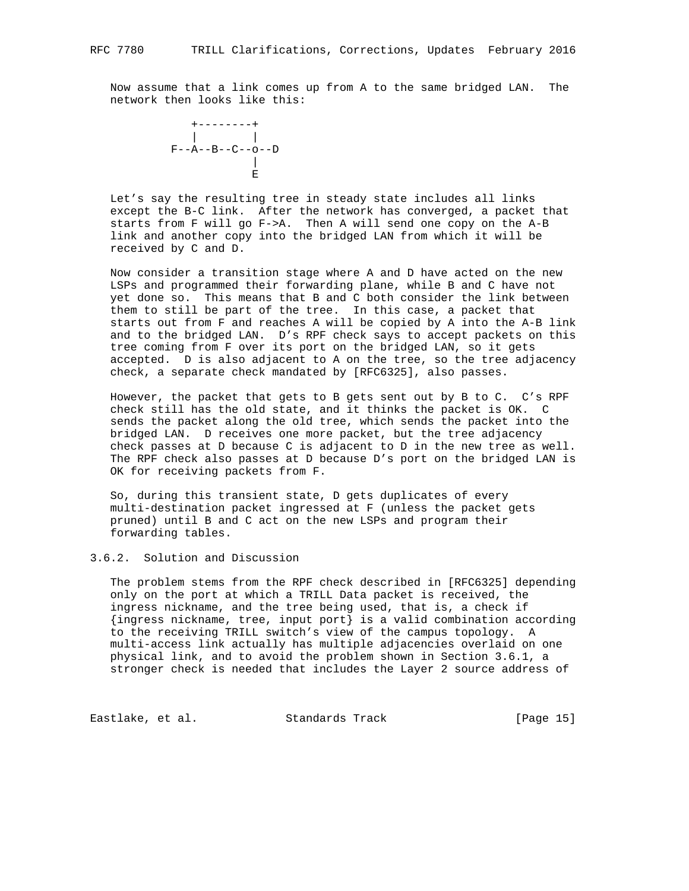Now assume that a link comes up from A to the same bridged LAN. The network then looks like this:



 Let's say the resulting tree in steady state includes all links except the B-C link. After the network has converged, a packet that starts from F will go F->A. Then A will send one copy on the A-B link and another copy into the bridged LAN from which it will be received by C and D.

 Now consider a transition stage where A and D have acted on the new LSPs and programmed their forwarding plane, while B and C have not yet done so. This means that B and C both consider the link between them to still be part of the tree. In this case, a packet that starts out from F and reaches A will be copied by A into the A-B link and to the bridged LAN. D's RPF check says to accept packets on this tree coming from F over its port on the bridged LAN, so it gets accepted. D is also adjacent to A on the tree, so the tree adjacency check, a separate check mandated by [RFC6325], also passes.

 However, the packet that gets to B gets sent out by B to C. C's RPF check still has the old state, and it thinks the packet is OK. C sends the packet along the old tree, which sends the packet into the bridged LAN. D receives one more packet, but the tree adjacency check passes at D because C is adjacent to D in the new tree as well. The RPF check also passes at D because D's port on the bridged LAN is OK for receiving packets from F.

 So, during this transient state, D gets duplicates of every multi-destination packet ingressed at F (unless the packet gets pruned) until B and C act on the new LSPs and program their forwarding tables.

### 3.6.2. Solution and Discussion

 The problem stems from the RPF check described in [RFC6325] depending only on the port at which a TRILL Data packet is received, the ingress nickname, and the tree being used, that is, a check if {ingress nickname, tree, input port} is a valid combination according to the receiving TRILL switch's view of the campus topology. A multi-access link actually has multiple adjacencies overlaid on one physical link, and to avoid the problem shown in Section 3.6.1, a stronger check is needed that includes the Layer 2 source address of

Eastlake, et al. Standards Track [Page 15]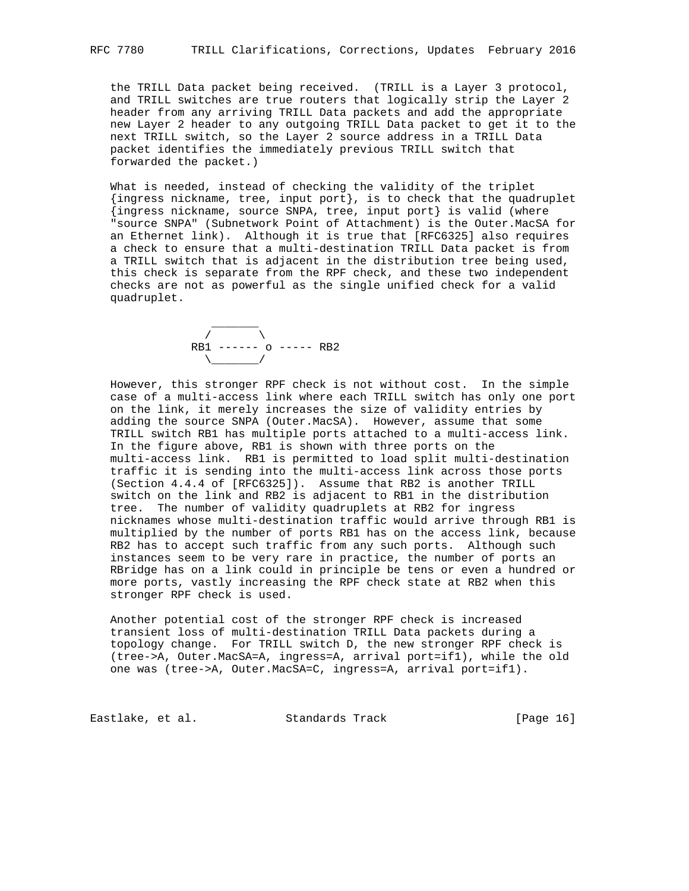the TRILL Data packet being received. (TRILL is a Layer 3 protocol, and TRILL switches are true routers that logically strip the Layer 2 header from any arriving TRILL Data packets and add the appropriate new Layer 2 header to any outgoing TRILL Data packet to get it to the next TRILL switch, so the Layer 2 source address in a TRILL Data packet identifies the immediately previous TRILL switch that forwarded the packet.)

 What is needed, instead of checking the validity of the triplet {ingress nickname, tree, input port}, is to check that the quadruplet {ingress nickname, source SNPA, tree, input port} is valid (where "source SNPA" (Subnetwork Point of Attachment) is the Outer.MacSA for an Ethernet link). Although it is true that [RFC6325] also requires a check to ensure that a multi-destination TRILL Data packet is from a TRILL switch that is adjacent in the distribution tree being used, this check is separate from the RPF check, and these two independent checks are not as powerful as the single unified check for a valid quadruplet.

 \_\_\_\_\_\_\_  $\sqrt{2}$  RB1 ------ o ----- RB2  $\setminus$ 

 However, this stronger RPF check is not without cost. In the simple case of a multi-access link where each TRILL switch has only one port on the link, it merely increases the size of validity entries by adding the source SNPA (Outer.MacSA). However, assume that some TRILL switch RB1 has multiple ports attached to a multi-access link. In the figure above, RB1 is shown with three ports on the multi-access link. RB1 is permitted to load split multi-destination traffic it is sending into the multi-access link across those ports (Section 4.4.4 of [RFC6325]). Assume that RB2 is another TRILL switch on the link and RB2 is adjacent to RB1 in the distribution tree. The number of validity quadruplets at RB2 for ingress nicknames whose multi-destination traffic would arrive through RB1 is multiplied by the number of ports RB1 has on the access link, because RB2 has to accept such traffic from any such ports. Although such instances seem to be very rare in practice, the number of ports an RBridge has on a link could in principle be tens or even a hundred or more ports, vastly increasing the RPF check state at RB2 when this stronger RPF check is used.

 Another potential cost of the stronger RPF check is increased transient loss of multi-destination TRILL Data packets during a topology change. For TRILL switch D, the new stronger RPF check is (tree->A, Outer.MacSA=A, ingress=A, arrival port=if1), while the old one was (tree->A, Outer.MacSA=C, ingress=A, arrival port=if1).

Eastlake, et al. Standards Track [Page 16]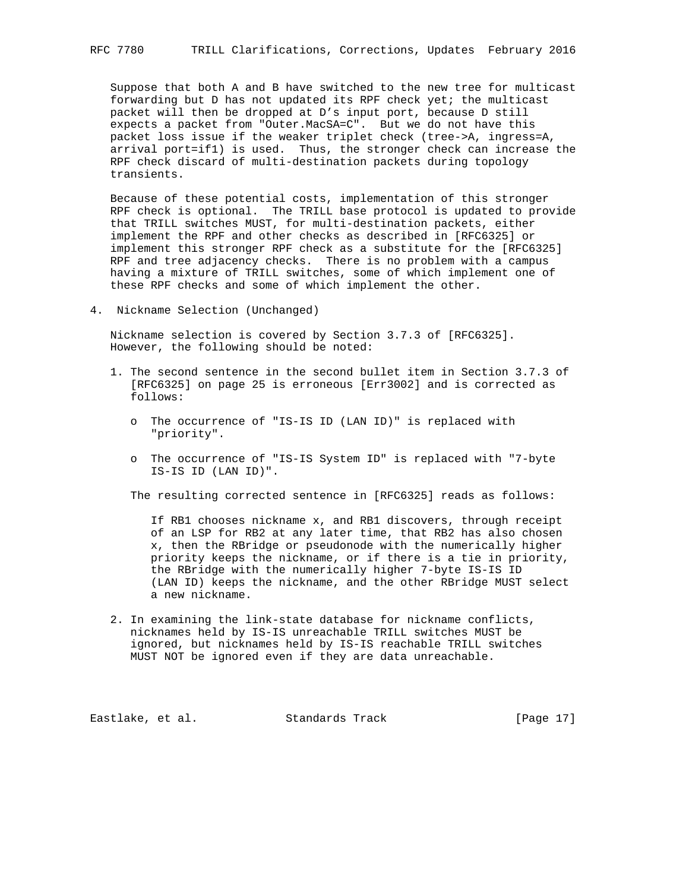Suppose that both A and B have switched to the new tree for multicast forwarding but D has not updated its RPF check yet; the multicast packet will then be dropped at D's input port, because D still expects a packet from "Outer.MacSA=C". But we do not have this packet loss issue if the weaker triplet check (tree->A, ingress=A, arrival port=if1) is used. Thus, the stronger check can increase the RPF check discard of multi-destination packets during topology transients.

 Because of these potential costs, implementation of this stronger RPF check is optional. The TRILL base protocol is updated to provide that TRILL switches MUST, for multi-destination packets, either implement the RPF and other checks as described in [RFC6325] or implement this stronger RPF check as a substitute for the [RFC6325] RPF and tree adjacency checks. There is no problem with a campus having a mixture of TRILL switches, some of which implement one of these RPF checks and some of which implement the other.

4. Nickname Selection (Unchanged)

 Nickname selection is covered by Section 3.7.3 of [RFC6325]. However, the following should be noted:

- 1. The second sentence in the second bullet item in Section 3.7.3 of [RFC6325] on page 25 is erroneous [Err3002] and is corrected as follows:
	- o The occurrence of "IS-IS ID (LAN ID)" is replaced with "priority".
	- o The occurrence of "IS-IS System ID" is replaced with "7-byte IS-IS ID (LAN ID)".

The resulting corrected sentence in [RFC6325] reads as follows:

 If RB1 chooses nickname x, and RB1 discovers, through receipt of an LSP for RB2 at any later time, that RB2 has also chosen x, then the RBridge or pseudonode with the numerically higher priority keeps the nickname, or if there is a tie in priority, the RBridge with the numerically higher 7-byte IS-IS ID (LAN ID) keeps the nickname, and the other RBridge MUST select a new nickname.

 2. In examining the link-state database for nickname conflicts, nicknames held by IS-IS unreachable TRILL switches MUST be ignored, but nicknames held by IS-IS reachable TRILL switches MUST NOT be ignored even if they are data unreachable.

Eastlake, et al. Standards Track [Page 17]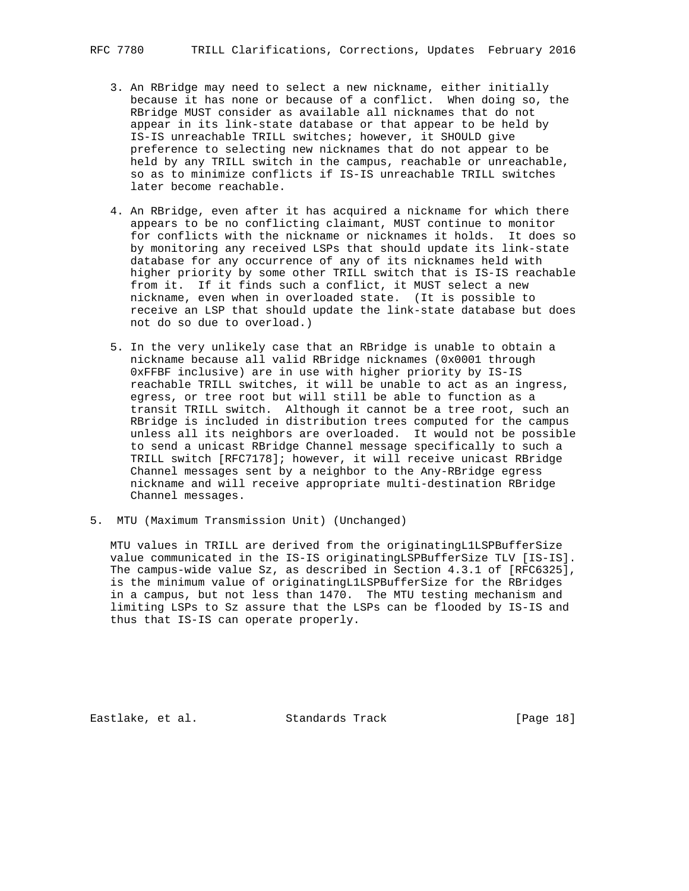- 3. An RBridge may need to select a new nickname, either initially because it has none or because of a conflict. When doing so, the RBridge MUST consider as available all nicknames that do not appear in its link-state database or that appear to be held by IS-IS unreachable TRILL switches; however, it SHOULD give preference to selecting new nicknames that do not appear to be held by any TRILL switch in the campus, reachable or unreachable, so as to minimize conflicts if IS-IS unreachable TRILL switches later become reachable.
- 4. An RBridge, even after it has acquired a nickname for which there appears to be no conflicting claimant, MUST continue to monitor for conflicts with the nickname or nicknames it holds. It does so by monitoring any received LSPs that should update its link-state database for any occurrence of any of its nicknames held with higher priority by some other TRILL switch that is IS-IS reachable from it. If it finds such a conflict, it MUST select a new nickname, even when in overloaded state. (It is possible to receive an LSP that should update the link-state database but does not do so due to overload.)
- 5. In the very unlikely case that an RBridge is unable to obtain a nickname because all valid RBridge nicknames (0x0001 through 0xFFBF inclusive) are in use with higher priority by IS-IS reachable TRILL switches, it will be unable to act as an ingress, egress, or tree root but will still be able to function as a transit TRILL switch. Although it cannot be a tree root, such an RBridge is included in distribution trees computed for the campus unless all its neighbors are overloaded. It would not be possible to send a unicast RBridge Channel message specifically to such a TRILL switch [RFC7178]; however, it will receive unicast RBridge Channel messages sent by a neighbor to the Any-RBridge egress nickname and will receive appropriate multi-destination RBridge Channel messages.
- 5. MTU (Maximum Transmission Unit) (Unchanged)

 MTU values in TRILL are derived from the originatingL1LSPBufferSize value communicated in the IS-IS originatingLSPBufferSize TLV [IS-IS]. The campus-wide value Sz, as described in Section 4.3.1 of [RFC6325], is the minimum value of originatingL1LSPBufferSize for the RBridges in a campus, but not less than 1470. The MTU testing mechanism and limiting LSPs to Sz assure that the LSPs can be flooded by IS-IS and thus that IS-IS can operate properly.

Eastlake, et al. Standards Track [Page 18]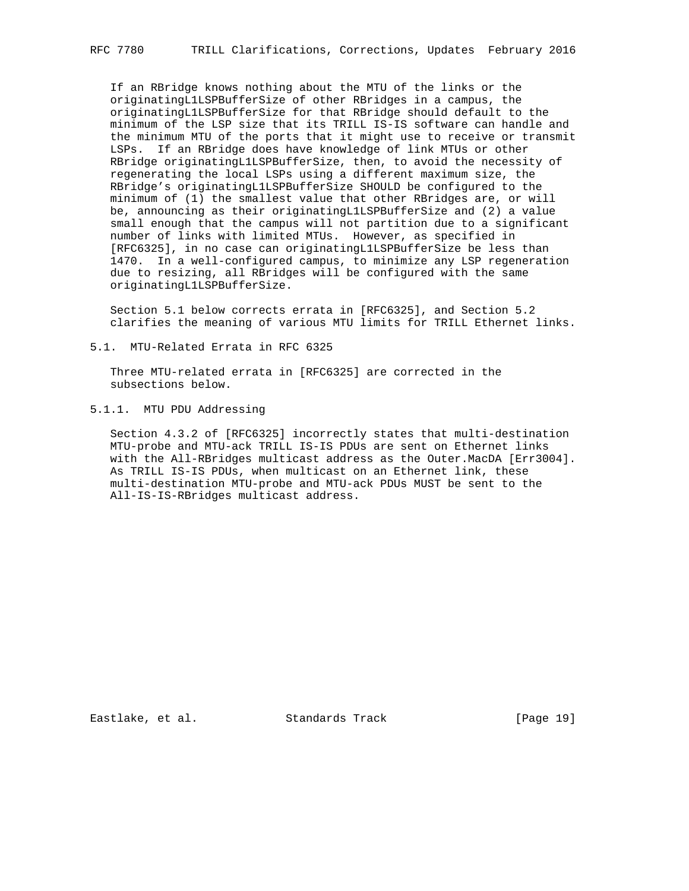If an RBridge knows nothing about the MTU of the links or the originatingL1LSPBufferSize of other RBridges in a campus, the originatingL1LSPBufferSize for that RBridge should default to the minimum of the LSP size that its TRILL IS-IS software can handle and the minimum MTU of the ports that it might use to receive or transmit LSPs. If an RBridge does have knowledge of link MTUs or other RBridge originatingL1LSPBufferSize, then, to avoid the necessity of regenerating the local LSPs using a different maximum size, the RBridge's originatingL1LSPBufferSize SHOULD be configured to the minimum of (1) the smallest value that other RBridges are, or will be, announcing as their originatingL1LSPBufferSize and (2) a value small enough that the campus will not partition due to a significant number of links with limited MTUs. However, as specified in [RFC6325], in no case can originatingL1LSPBufferSize be less than 1470. In a well-configured campus, to minimize any LSP regeneration due to resizing, all RBridges will be configured with the same originatingL1LSPBufferSize.

 Section 5.1 below corrects errata in [RFC6325], and Section 5.2 clarifies the meaning of various MTU limits for TRILL Ethernet links.

5.1. MTU-Related Errata in RFC 6325

 Three MTU-related errata in [RFC6325] are corrected in the subsections below.

5.1.1. MTU PDU Addressing

 Section 4.3.2 of [RFC6325] incorrectly states that multi-destination MTU-probe and MTU-ack TRILL IS-IS PDUs are sent on Ethernet links with the All-RBridges multicast address as the Outer.MacDA [Err3004]. As TRILL IS-IS PDUs, when multicast on an Ethernet link, these multi-destination MTU-probe and MTU-ack PDUs MUST be sent to the All-IS-IS-RBridges multicast address.

Eastlake, et al. Standards Track [Page 19]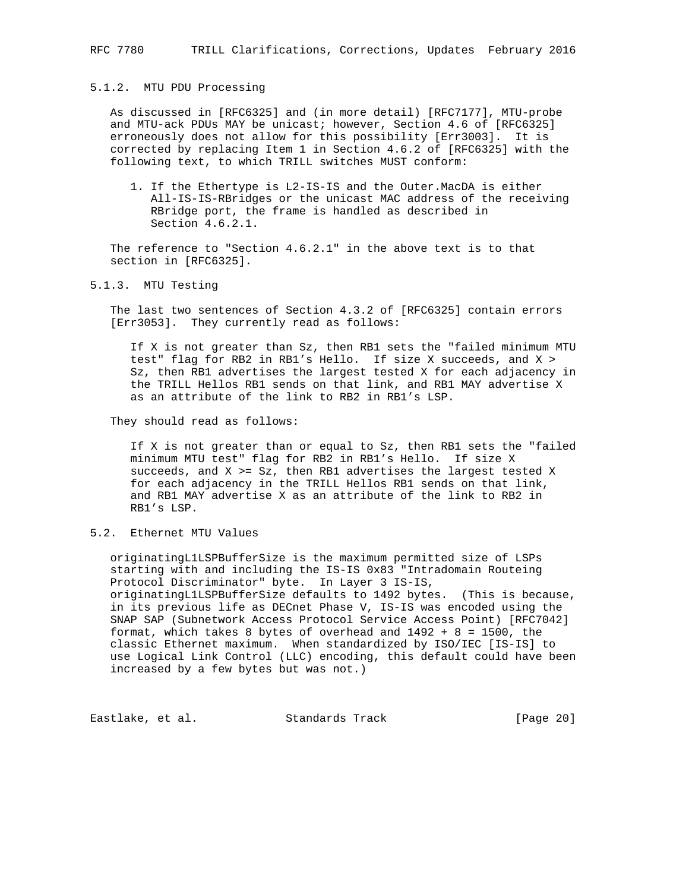### 5.1.2. MTU PDU Processing

 As discussed in [RFC6325] and (in more detail) [RFC7177], MTU-probe and MTU-ack PDUs MAY be unicast; however, Section 4.6 of [RFC6325] erroneously does not allow for this possibility [Err3003]. It is corrected by replacing Item 1 in Section 4.6.2 of [RFC6325] with the following text, to which TRILL switches MUST conform:

 1. If the Ethertype is L2-IS-IS and the Outer.MacDA is either All-IS-IS-RBridges or the unicast MAC address of the receiving RBridge port, the frame is handled as described in Section 4.6.2.1.

 The reference to "Section 4.6.2.1" in the above text is to that section in [RFC6325].

5.1.3. MTU Testing

 The last two sentences of Section 4.3.2 of [RFC6325] contain errors [Err3053]. They currently read as follows:

 If X is not greater than Sz, then RB1 sets the "failed minimum MTU test" flag for RB2 in RB1's Hello. If size X succeeds, and X > Sz, then RB1 advertises the largest tested X for each adjacency in the TRILL Hellos RB1 sends on that link, and RB1 MAY advertise X as an attribute of the link to RB2 in RB1's LSP.

They should read as follows:

 If X is not greater than or equal to Sz, then RB1 sets the "failed minimum MTU test" flag for RB2 in RB1's Hello. If size X succeeds, and X >= Sz, then RB1 advertises the largest tested X for each adjacency in the TRILL Hellos RB1 sends on that link, and RB1 MAY advertise X as an attribute of the link to RB2 in RB1's LSP.

5.2. Ethernet MTU Values

 originatingL1LSPBufferSize is the maximum permitted size of LSPs starting with and including the IS-IS 0x83 "Intradomain Routeing Protocol Discriminator" byte. In Layer 3 IS-IS, originatingL1LSPBufferSize defaults to 1492 bytes. (This is because, in its previous life as DECnet Phase V, IS-IS was encoded using the SNAP SAP (Subnetwork Access Protocol Service Access Point) [RFC7042] format, which takes 8 bytes of overhead and 1492 + 8 = 1500, the classic Ethernet maximum. When standardized by ISO/IEC [IS-IS] to use Logical Link Control (LLC) encoding, this default could have been increased by a few bytes but was not.)

Eastlake, et al. Standards Track [Page 20]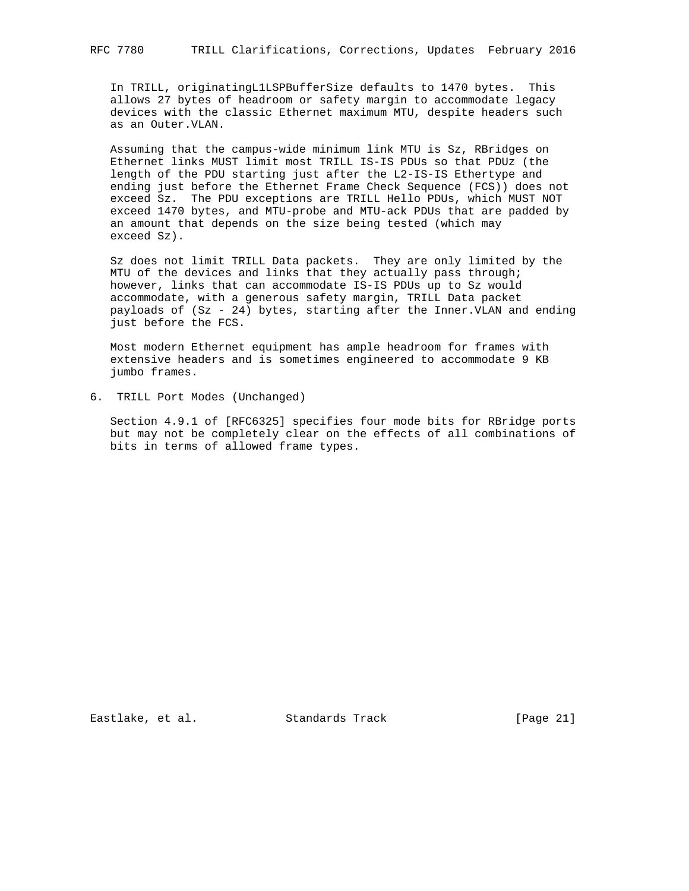In TRILL, originatingL1LSPBufferSize defaults to 1470 bytes. This allows 27 bytes of headroom or safety margin to accommodate legacy devices with the classic Ethernet maximum MTU, despite headers such as an Outer.VLAN.

 Assuming that the campus-wide minimum link MTU is Sz, RBridges on Ethernet links MUST limit most TRILL IS-IS PDUs so that PDUz (the length of the PDU starting just after the L2-IS-IS Ethertype and ending just before the Ethernet Frame Check Sequence (FCS)) does not exceed Sz. The PDU exceptions are TRILL Hello PDUs, which MUST NOT exceed 1470 bytes, and MTU-probe and MTU-ack PDUs that are padded by an amount that depends on the size being tested (which may exceed Sz).

 Sz does not limit TRILL Data packets. They are only limited by the MTU of the devices and links that they actually pass through; however, links that can accommodate IS-IS PDUs up to Sz would accommodate, with a generous safety margin, TRILL Data packet payloads of (Sz - 24) bytes, starting after the Inner.VLAN and ending just before the FCS.

 Most modern Ethernet equipment has ample headroom for frames with extensive headers and is sometimes engineered to accommodate 9 KB jumbo frames.

6. TRILL Port Modes (Unchanged)

 Section 4.9.1 of [RFC6325] specifies four mode bits for RBridge ports but may not be completely clear on the effects of all combinations of bits in terms of allowed frame types.

Eastlake, et al. Standards Track [Page 21]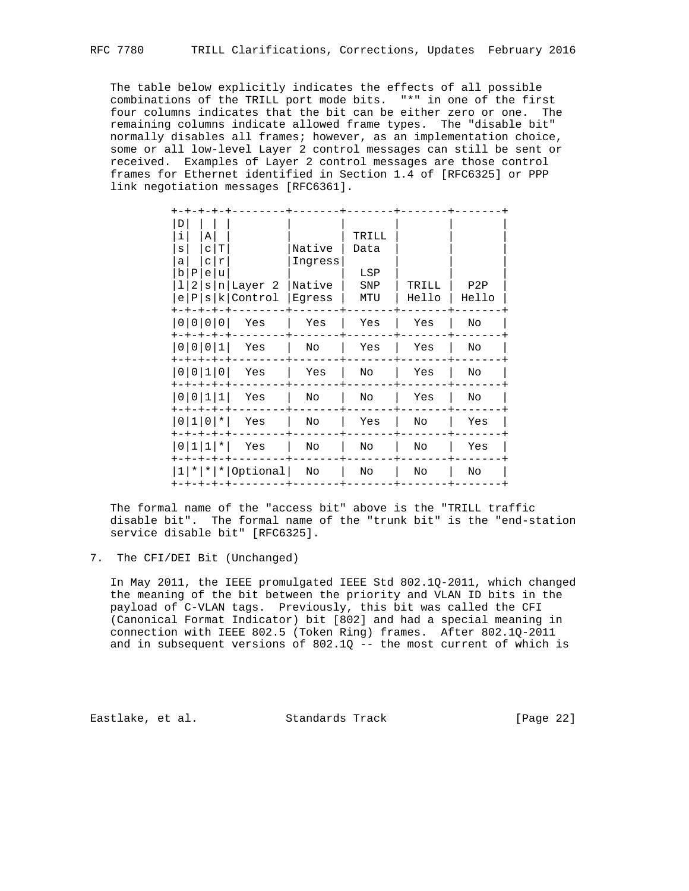The table below explicitly indicates the effects of all possible combinations of the TRILL port mode bits. "\*" in one of the first four columns indicates that the bit can be either zero or one. The remaining columns indicate allowed frame types. The "disable bit" normally disables all frames; however, as an implementation choice, some or all low-level Layer 2 control messages can still be sent or received. Examples of Layer 2 control messages are those control frames for Ethernet identified in Section 1.4 of [RFC6325] or PPP link negotiation messages [RFC6361].

| D<br>i       |               | Α   |   |                            |         | TRILL |       |       |  |
|--------------|---------------|-----|---|----------------------------|---------|-------|-------|-------|--|
| $\mathbf{s}$ |               | c T |   |                            | Native  | Data  |       |       |  |
| а            |               | C   | r |                            | Ingress |       |       |       |  |
|              | b P           | e   | u |                            |         | LSP   |       |       |  |
| 11           | -2 I          | S   |   | n Layer 2                  | Native  | SNP   | TRILL | P2P   |  |
|              | e P           |     |   | s k Control                | Eqress  | MTU   | Hello | Hello |  |
|              | 0   0   0   0 |     |   | Yes                        | Yes     | Yes   | Yes   | No    |  |
|              | 0   0   0   1 |     |   | Yes                        | No      | Yes   | Yes   | No    |  |
|              | 0   0   1   0 |     |   | Yes                        | Yes     | No    | Yes   | No    |  |
|              | 0   0   1   1 |     |   | Yes                        | No      | No    | Yes   | No    |  |
|              | $ 01110 $ *   |     |   | Yes                        | No      | Yes   | No    | Yes   |  |
|              | 0 1 1 *       |     |   | Yes                        | No      | No    | No    | Yes   |  |
|              | キーキーキーキーキ     |     |   | $1$   *   *   *   Optional | No      | No    | No    | No    |  |
|              |               |     |   |                            |         |       |       |       |  |

 The formal name of the "access bit" above is the "TRILL traffic disable bit". The formal name of the "trunk bit" is the "end-station service disable bit" [RFC6325].

7. The CFI/DEI Bit (Unchanged)

 In May 2011, the IEEE promulgated IEEE Std 802.1Q-2011, which changed the meaning of the bit between the priority and VLAN ID bits in the payload of C-VLAN tags. Previously, this bit was called the CFI (Canonical Format Indicator) bit [802] and had a special meaning in connection with IEEE 802.5 (Token Ring) frames. After 802.1Q-2011 and in subsequent versions of  $802.1Q - -$  the most current of which is

Eastlake, et al. Standards Track [Page 22]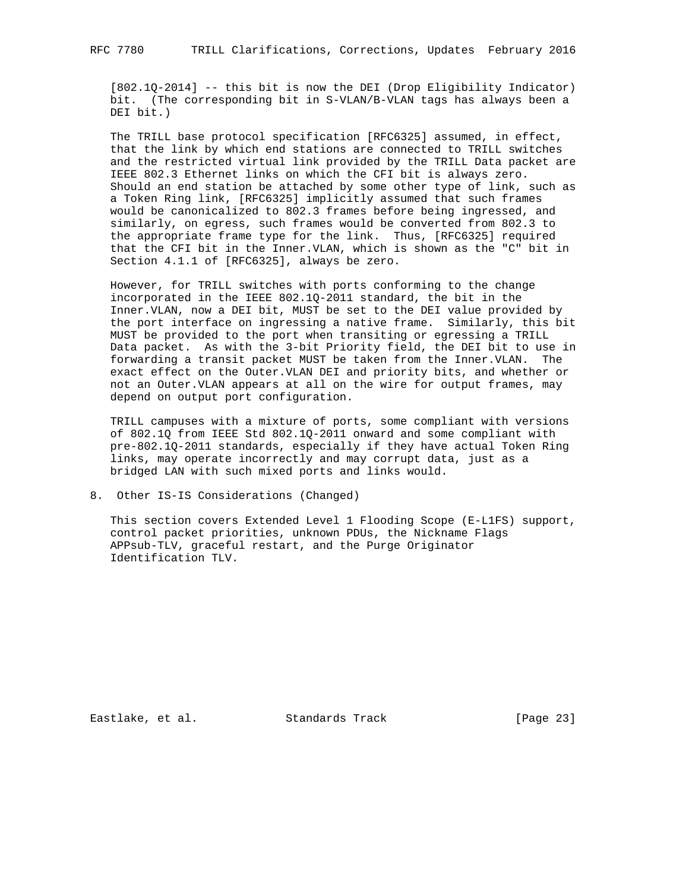[802.1Q-2014] -- this bit is now the DEI (Drop Eligibility Indicator) bit. (The corresponding bit in S-VLAN/B-VLAN tags has always been a DEI bit.)

 The TRILL base protocol specification [RFC6325] assumed, in effect, that the link by which end stations are connected to TRILL switches and the restricted virtual link provided by the TRILL Data packet are IEEE 802.3 Ethernet links on which the CFI bit is always zero. Should an end station be attached by some other type of link, such as a Token Ring link, [RFC6325] implicitly assumed that such frames would be canonicalized to 802.3 frames before being ingressed, and similarly, on egress, such frames would be converted from 802.3 to the appropriate frame type for the link. Thus, [RFC6325] required that the CFI bit in the Inner.VLAN, which is shown as the "C" bit in Section 4.1.1 of [RFC6325], always be zero.

 However, for TRILL switches with ports conforming to the change incorporated in the IEEE 802.1Q-2011 standard, the bit in the Inner.VLAN, now a DEI bit, MUST be set to the DEI value provided by the port interface on ingressing a native frame. Similarly, this bit MUST be provided to the port when transiting or egressing a TRILL Data packet. As with the 3-bit Priority field, the DEI bit to use in forwarding a transit packet MUST be taken from the Inner.VLAN. The exact effect on the Outer.VLAN DEI and priority bits, and whether or not an Outer.VLAN appears at all on the wire for output frames, may depend on output port configuration.

 TRILL campuses with a mixture of ports, some compliant with versions of 802.1Q from IEEE Std 802.1Q-2011 onward and some compliant with pre-802.1Q-2011 standards, especially if they have actual Token Ring links, may operate incorrectly and may corrupt data, just as a bridged LAN with such mixed ports and links would.

8. Other IS-IS Considerations (Changed)

 This section covers Extended Level 1 Flooding Scope (E-L1FS) support, control packet priorities, unknown PDUs, the Nickname Flags APPsub-TLV, graceful restart, and the Purge Originator Identification TLV.

Eastlake, et al. Standards Track [Page 23]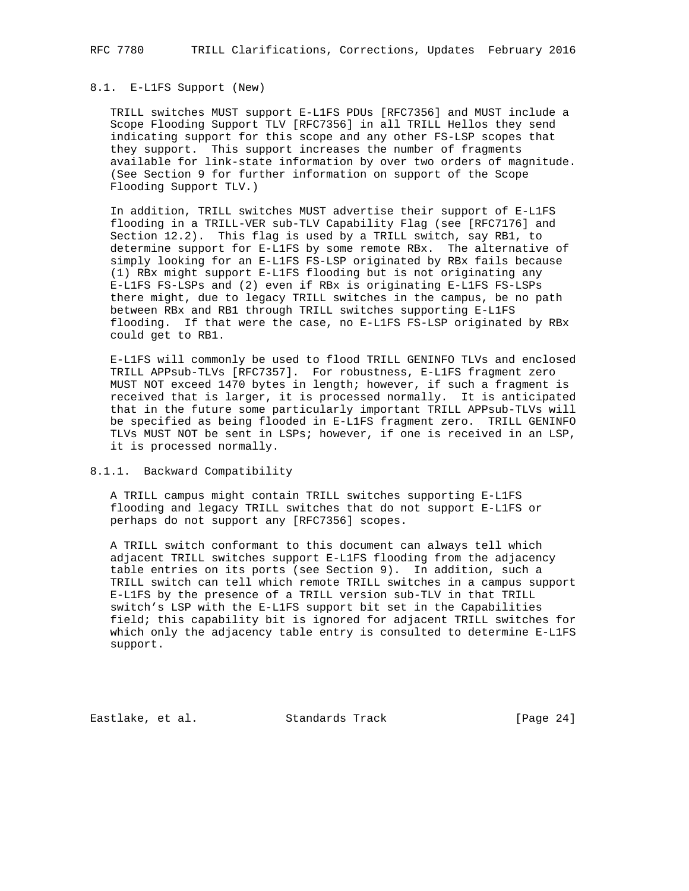#### 8.1. E-L1FS Support (New)

 TRILL switches MUST support E-L1FS PDUs [RFC7356] and MUST include a Scope Flooding Support TLV [RFC7356] in all TRILL Hellos they send indicating support for this scope and any other FS-LSP scopes that they support. This support increases the number of fragments available for link-state information by over two orders of magnitude. (See Section 9 for further information on support of the Scope Flooding Support TLV.)

 In addition, TRILL switches MUST advertise their support of E-L1FS flooding in a TRILL-VER sub-TLV Capability Flag (see [RFC7176] and Section 12.2). This flag is used by a TRILL switch, say RB1, to determine support for E-L1FS by some remote RBx. The alternative of simply looking for an E-L1FS FS-LSP originated by RBx fails because (1) RBx might support E-L1FS flooding but is not originating any E-L1FS FS-LSPs and (2) even if RBx is originating E-L1FS FS-LSPs there might, due to legacy TRILL switches in the campus, be no path between RBx and RB1 through TRILL switches supporting E-L1FS flooding. If that were the case, no E-L1FS FS-LSP originated by RBx could get to RB1.

 E-L1FS will commonly be used to flood TRILL GENINFO TLVs and enclosed TRILL APPsub-TLVs [RFC7357]. For robustness, E-L1FS fragment zero MUST NOT exceed 1470 bytes in length; however, if such a fragment is received that is larger, it is processed normally. It is anticipated that in the future some particularly important TRILL APPsub-TLVs will be specified as being flooded in E-L1FS fragment zero. TRILL GENINFO TLVs MUST NOT be sent in LSPs; however, if one is received in an LSP, it is processed normally.

### 8.1.1. Backward Compatibility

 A TRILL campus might contain TRILL switches supporting E-L1FS flooding and legacy TRILL switches that do not support E-L1FS or perhaps do not support any [RFC7356] scopes.

 A TRILL switch conformant to this document can always tell which adjacent TRILL switches support E-L1FS flooding from the adjacency table entries on its ports (see Section 9). In addition, such a TRILL switch can tell which remote TRILL switches in a campus support E-L1FS by the presence of a TRILL version sub-TLV in that TRILL switch's LSP with the E-L1FS support bit set in the Capabilities field; this capability bit is ignored for adjacent TRILL switches for which only the adjacency table entry is consulted to determine E-L1FS support.

Eastlake, et al. Standards Track [Page 24]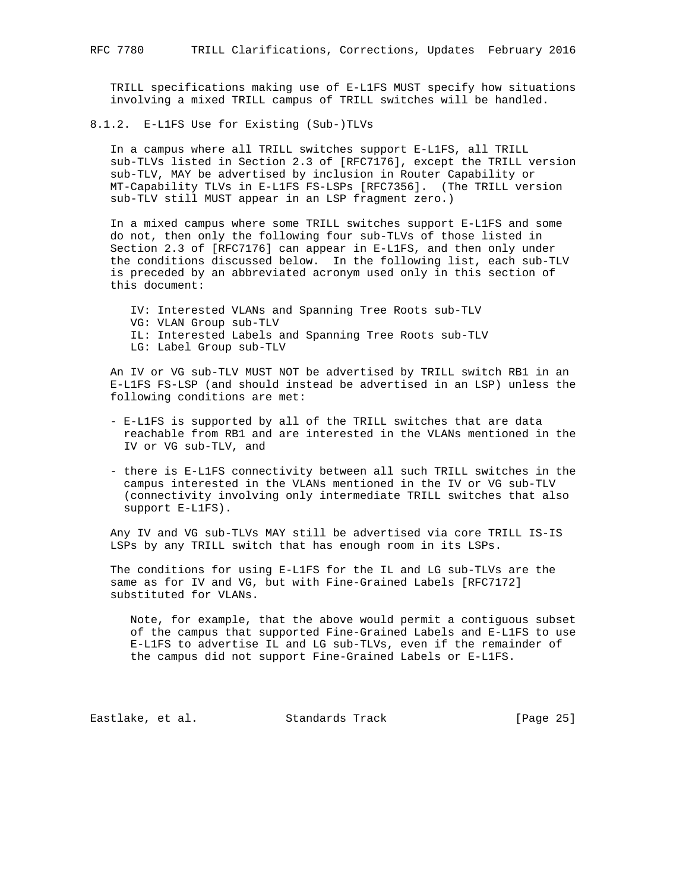TRILL specifications making use of E-L1FS MUST specify how situations involving a mixed TRILL campus of TRILL switches will be handled.

8.1.2. E-L1FS Use for Existing (Sub-)TLVs

 In a campus where all TRILL switches support E-L1FS, all TRILL sub-TLVs listed in Section 2.3 of [RFC7176], except the TRILL version sub-TLV, MAY be advertised by inclusion in Router Capability or MT-Capability TLVs in E-L1FS FS-LSPs [RFC7356]. (The TRILL version sub-TLV still MUST appear in an LSP fragment zero.)

 In a mixed campus where some TRILL switches support E-L1FS and some do not, then only the following four sub-TLVs of those listed in Section 2.3 of [RFC7176] can appear in E-L1FS, and then only under the conditions discussed below. In the following list, each sub-TLV is preceded by an abbreviated acronym used only in this section of this document:

 IV: Interested VLANs and Spanning Tree Roots sub-TLV VG: VLAN Group sub-TLV IL: Interested Labels and Spanning Tree Roots sub-TLV LG: Label Group sub-TLV

 An IV or VG sub-TLV MUST NOT be advertised by TRILL switch RB1 in an E-L1FS FS-LSP (and should instead be advertised in an LSP) unless the following conditions are met:

- E-L1FS is supported by all of the TRILL switches that are data reachable from RB1 and are interested in the VLANs mentioned in the IV or VG sub-TLV, and
- there is E-L1FS connectivity between all such TRILL switches in the campus interested in the VLANs mentioned in the IV or VG sub-TLV (connectivity involving only intermediate TRILL switches that also support E-L1FS).

 Any IV and VG sub-TLVs MAY still be advertised via core TRILL IS-IS LSPs by any TRILL switch that has enough room in its LSPs.

 The conditions for using E-L1FS for the IL and LG sub-TLVs are the same as for IV and VG, but with Fine-Grained Labels [RFC7172] substituted for VLANs.

 Note, for example, that the above would permit a contiguous subset of the campus that supported Fine-Grained Labels and E-L1FS to use E-L1FS to advertise IL and LG sub-TLVs, even if the remainder of the campus did not support Fine-Grained Labels or E-L1FS.

Eastlake, et al. Standards Track [Page 25]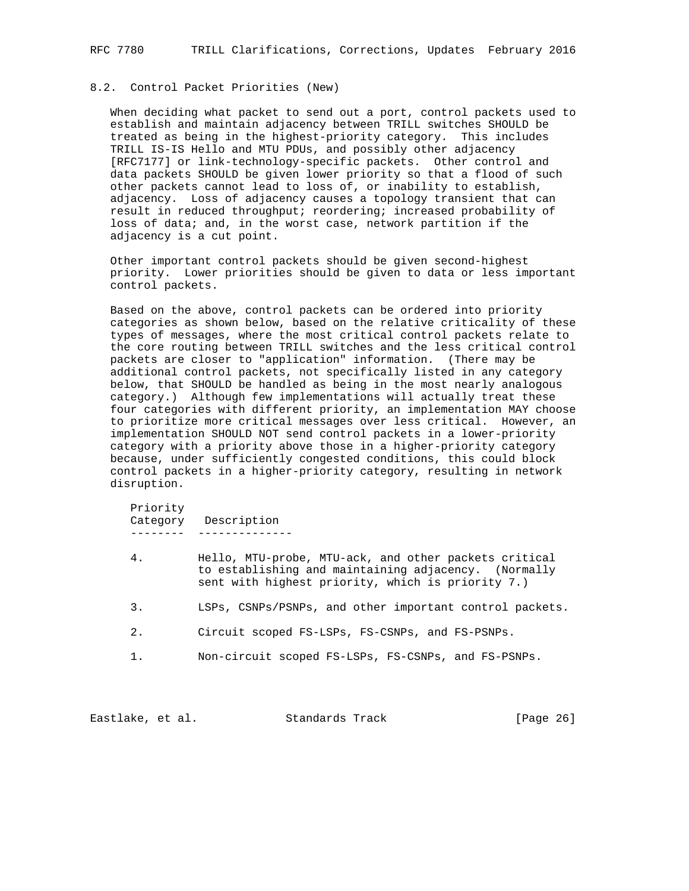## 8.2. Control Packet Priorities (New)

 When deciding what packet to send out a port, control packets used to establish and maintain adjacency between TRILL switches SHOULD be treated as being in the highest-priority category. This includes TRILL IS-IS Hello and MTU PDUs, and possibly other adjacency [RFC7177] or link-technology-specific packets. Other control and data packets SHOULD be given lower priority so that a flood of such other packets cannot lead to loss of, or inability to establish, adjacency. Loss of adjacency causes a topology transient that can result in reduced throughput; reordering; increased probability of loss of data; and, in the worst case, network partition if the adjacency is a cut point.

 Other important control packets should be given second-highest priority. Lower priorities should be given to data or less important control packets.

 Based on the above, control packets can be ordered into priority categories as shown below, based on the relative criticality of these types of messages, where the most critical control packets relate to the core routing between TRILL switches and the less critical control packets are closer to "application" information. (There may be additional control packets, not specifically listed in any category below, that SHOULD be handled as being in the most nearly analogous category.) Although few implementations will actually treat these four categories with different priority, an implementation MAY choose to prioritize more critical messages over less critical. However, an implementation SHOULD NOT send control packets in a lower-priority category with a priority above those in a higher-priority category because, under sufficiently congested conditions, this could block control packets in a higher-priority category, resulting in network disruption.

 Priority Category Description -------- --------------

- 4. Hello, MTU-probe, MTU-ack, and other packets critical to establishing and maintaining adjacency. (Normally sent with highest priority, which is priority 7.)
- 3. LSPs, CSNPs/PSNPs, and other important control packets.
- 2. Circuit scoped FS-LSPs, FS-CSNPs, and FS-PSNPs.
- 1. Non-circuit scoped FS-LSPs, FS-CSNPs, and FS-PSNPs.

Eastlake, et al. Standards Track [Page 26]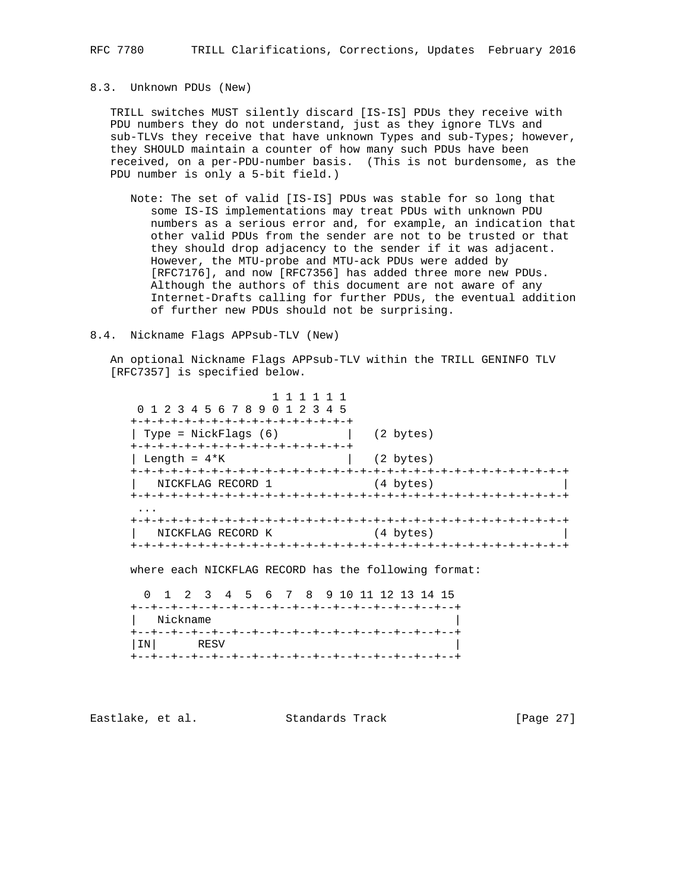### 8.3. Unknown PDUs (New)

 TRILL switches MUST silently discard [IS-IS] PDUs they receive with PDU numbers they do not understand, just as they ignore TLVs and sub-TLVs they receive that have unknown Types and sub-Types; however, they SHOULD maintain a counter of how many such PDUs have been received, on a per-PDU-number basis. (This is not burdensome, as the PDU number is only a 5-bit field.)

 Note: The set of valid [IS-IS] PDUs was stable for so long that some IS-IS implementations may treat PDUs with unknown PDU numbers as a serious error and, for example, an indication that other valid PDUs from the sender are not to be trusted or that they should drop adjacency to the sender if it was adjacent. However, the MTU-probe and MTU-ack PDUs were added by [RFC7176], and now [RFC7356] has added three more new PDUs. Although the authors of this document are not aware of any Internet-Drafts calling for further PDUs, the eventual addition of further new PDUs should not be surprising.

#### 8.4. Nickname Flags APPsub-TLV (New)

 An optional Nickname Flags APPsub-TLV within the TRILL GENINFO TLV [RFC7357] is specified below.

 1 1 1 1 1 1 0 1 2 3 4 5 6 7 8 9 0 1 2 3 4 5 +-+-+-+-+-+-+-+-+-+-+-+-+-+-+-+-+ | Type = NickFlags (6) | (2 bytes) +-+-+-+-+-+-+-+-+-+-+-+-+-+-+-+-+  $\vert$  Length =  $4*K$   $\vert$  (2 bytes) +-+-+-+-+-+-+-+-+-+-+-+-+-+-+-+-+-+-+-+-+-+-+-+-+-+-+-+-+-+-+-+-+ NICKFLAG RECORD 1 (4 bytes) +-+-+-+-+-+-+-+-+-+-+-+-+-+-+-+-+-+-+-+-+-+-+-+-+-+-+-+-+-+-+-+-+ ... +-+-+-+-+-+-+-+-+-+-+-+-+-+-+-+-+-+-+-+-+-+-+-+-+-+-+-+-+-+-+-+-+  $NICKFLAG RECORD K$ +-+-+-+-+-+-+-+-+-+-+-+-+-+-+-+-+-+-+-+-+-+-+-+-+-+-+-+-+-+-+-+-+

where each NICKFLAG RECORD has the following format:

 0 1 2 3 4 5 6 7 8 9 10 11 12 13 14 15 +--+--+--+--+--+--+--+--+--+--+--+--+--+--+--+--+ | Nickname | +--+--+--+--+--+--+--+--+--+--+--+--+--+--+--+--+ |IN| RESV +--+--+--+--+--+--+--+--+--+--+--+--+--+--+--+--+

Eastlake, et al. Standards Track [Page 27]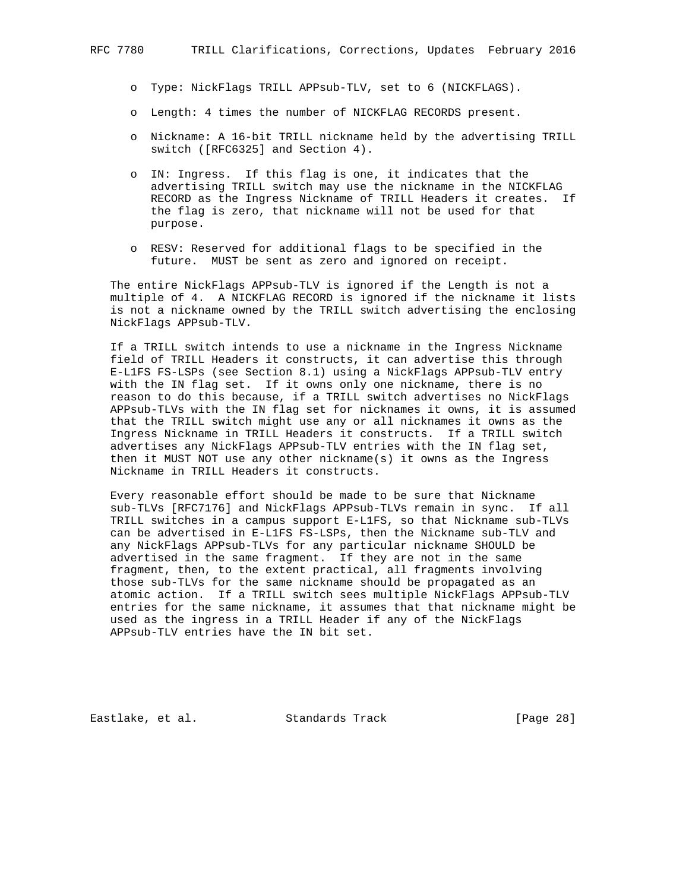- o Type: NickFlags TRILL APPsub-TLV, set to 6 (NICKFLAGS).
- o Length: 4 times the number of NICKFLAG RECORDS present.
- o Nickname: A 16-bit TRILL nickname held by the advertising TRILL switch ([RFC6325] and Section 4).
- o IN: Ingress. If this flag is one, it indicates that the advertising TRILL switch may use the nickname in the NICKFLAG RECORD as the Ingress Nickname of TRILL Headers it creates. If the flag is zero, that nickname will not be used for that purpose.
- o RESV: Reserved for additional flags to be specified in the future. MUST be sent as zero and ignored on receipt.

 The entire NickFlags APPsub-TLV is ignored if the Length is not a multiple of 4. A NICKFLAG RECORD is ignored if the nickname it lists is not a nickname owned by the TRILL switch advertising the enclosing NickFlags APPsub-TLV.

 If a TRILL switch intends to use a nickname in the Ingress Nickname field of TRILL Headers it constructs, it can advertise this through E-L1FS FS-LSPs (see Section 8.1) using a NickFlags APPsub-TLV entry with the IN flag set. If it owns only one nickname, there is no reason to do this because, if a TRILL switch advertises no NickFlags APPsub-TLVs with the IN flag set for nicknames it owns, it is assumed that the TRILL switch might use any or all nicknames it owns as the Ingress Nickname in TRILL Headers it constructs. If a TRILL switch advertises any NickFlags APPsub-TLV entries with the IN flag set, then it MUST NOT use any other nickname(s) it owns as the Ingress Nickname in TRILL Headers it constructs.

 Every reasonable effort should be made to be sure that Nickname sub-TLVs [RFC7176] and NickFlags APPsub-TLVs remain in sync. If all TRILL switches in a campus support E-L1FS, so that Nickname sub-TLVs can be advertised in E-L1FS FS-LSPs, then the Nickname sub-TLV and any NickFlags APPsub-TLVs for any particular nickname SHOULD be advertised in the same fragment. If they are not in the same fragment, then, to the extent practical, all fragments involving those sub-TLVs for the same nickname should be propagated as an atomic action. If a TRILL switch sees multiple NickFlags APPsub-TLV entries for the same nickname, it assumes that that nickname might be used as the ingress in a TRILL Header if any of the NickFlags APPsub-TLV entries have the IN bit set.

Eastlake, et al. Standards Track [Page 28]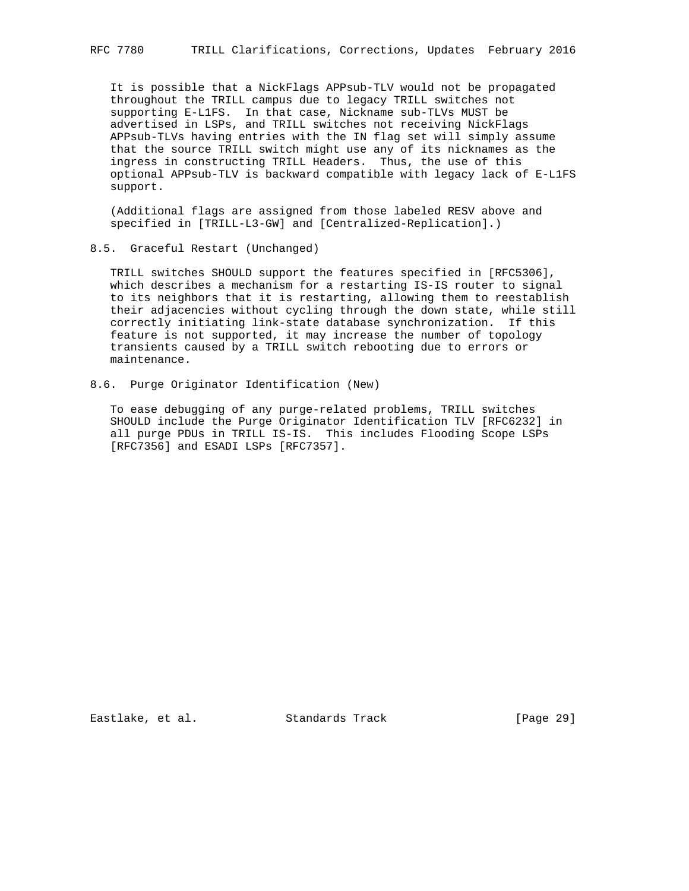It is possible that a NickFlags APPsub-TLV would not be propagated throughout the TRILL campus due to legacy TRILL switches not supporting E-L1FS. In that case, Nickname sub-TLVs MUST be advertised in LSPs, and TRILL switches not receiving NickFlags APPsub-TLVs having entries with the IN flag set will simply assume that the source TRILL switch might use any of its nicknames as the ingress in constructing TRILL Headers. Thus, the use of this optional APPsub-TLV is backward compatible with legacy lack of E-L1FS support.

 (Additional flags are assigned from those labeled RESV above and specified in [TRILL-L3-GW] and [Centralized-Replication].)

#### 8.5. Graceful Restart (Unchanged)

 TRILL switches SHOULD support the features specified in [RFC5306], which describes a mechanism for a restarting IS-IS router to signal to its neighbors that it is restarting, allowing them to reestablish their adjacencies without cycling through the down state, while still correctly initiating link-state database synchronization. If this feature is not supported, it may increase the number of topology transients caused by a TRILL switch rebooting due to errors or maintenance.

8.6. Purge Originator Identification (New)

 To ease debugging of any purge-related problems, TRILL switches SHOULD include the Purge Originator Identification TLV [RFC6232] in all purge PDUs in TRILL IS-IS. This includes Flooding Scope LSPs [RFC7356] and ESADI LSPs [RFC7357].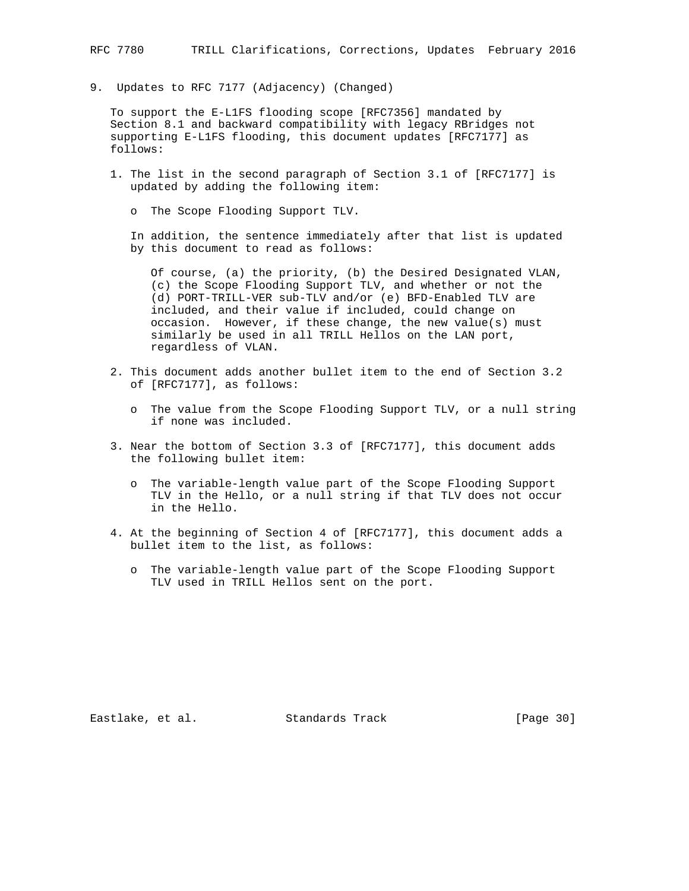9. Updates to RFC 7177 (Adjacency) (Changed)

 To support the E-L1FS flooding scope [RFC7356] mandated by Section 8.1 and backward compatibility with legacy RBridges not supporting E-L1FS flooding, this document updates [RFC7177] as follows:

- 1. The list in the second paragraph of Section 3.1 of [RFC7177] is updated by adding the following item:
	- o The Scope Flooding Support TLV.

 In addition, the sentence immediately after that list is updated by this document to read as follows:

 Of course, (a) the priority, (b) the Desired Designated VLAN, (c) the Scope Flooding Support TLV, and whether or not the (d) PORT-TRILL-VER sub-TLV and/or (e) BFD-Enabled TLV are included, and their value if included, could change on occasion. However, if these change, the new value(s) must similarly be used in all TRILL Hellos on the LAN port, regardless of VLAN.

- 2. This document adds another bullet item to the end of Section 3.2 of [RFC7177], as follows:
	- o The value from the Scope Flooding Support TLV, or a null string if none was included.
- 3. Near the bottom of Section 3.3 of [RFC7177], this document adds the following bullet item:
	- o The variable-length value part of the Scope Flooding Support TLV in the Hello, or a null string if that TLV does not occur in the Hello.
- 4. At the beginning of Section 4 of [RFC7177], this document adds a bullet item to the list, as follows:
	- o The variable-length value part of the Scope Flooding Support TLV used in TRILL Hellos sent on the port.

Eastlake, et al. Standards Track [Page 30]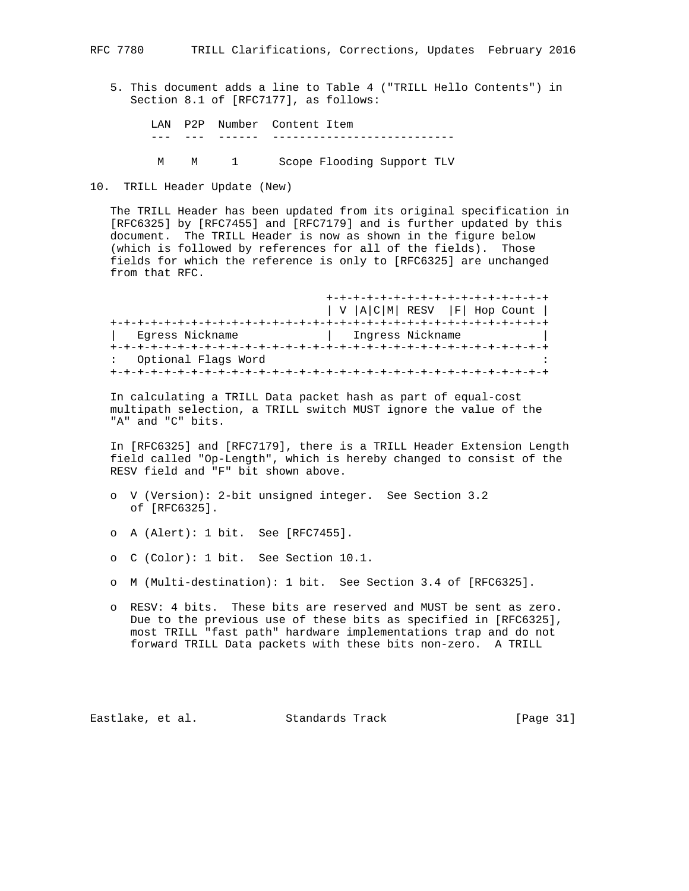- 5. This document adds a line to Table 4 ("TRILL Hello Contents") in Section 8.1 of [RFC7177], as follows:
	- LAN P2P Number Content Item --- --- ------ --------------------------- M M 1 Scope Flooding Support TLV
- 10. TRILL Header Update (New)

 The TRILL Header has been updated from its original specification in [RFC6325] by [RFC7455] and [RFC7179] and is further updated by this document. The TRILL Header is now as shown in the figure below (which is followed by references for all of the fields). Those fields for which the reference is only to [RFC6325] are unchanged from that RFC.

|                     | $ V A C M $ RESV $ F $ Hop Count $ $ |
|---------------------|--------------------------------------|
|                     |                                      |
| Egress Nickname     | Ingress Nickname                     |
|                     |                                      |
| Optional Flags Word |                                      |
|                     |                                      |

 In calculating a TRILL Data packet hash as part of equal-cost multipath selection, a TRILL switch MUST ignore the value of the "A" and "C" bits.

 In [RFC6325] and [RFC7179], there is a TRILL Header Extension Length field called "Op-Length", which is hereby changed to consist of the RESV field and "F" bit shown above.

- o V (Version): 2-bit unsigned integer. See Section 3.2 of [RFC6325].
- o A (Alert): 1 bit. See [RFC7455].
- o C (Color): 1 bit. See Section 10.1.
- o M (Multi-destination): 1 bit. See Section 3.4 of [RFC6325].
- o RESV: 4 bits. These bits are reserved and MUST be sent as zero. Due to the previous use of these bits as specified in [RFC6325], most TRILL "fast path" hardware implementations trap and do not forward TRILL Data packets with these bits non-zero. A TRILL

Eastlake, et al. Standards Track [Page 31]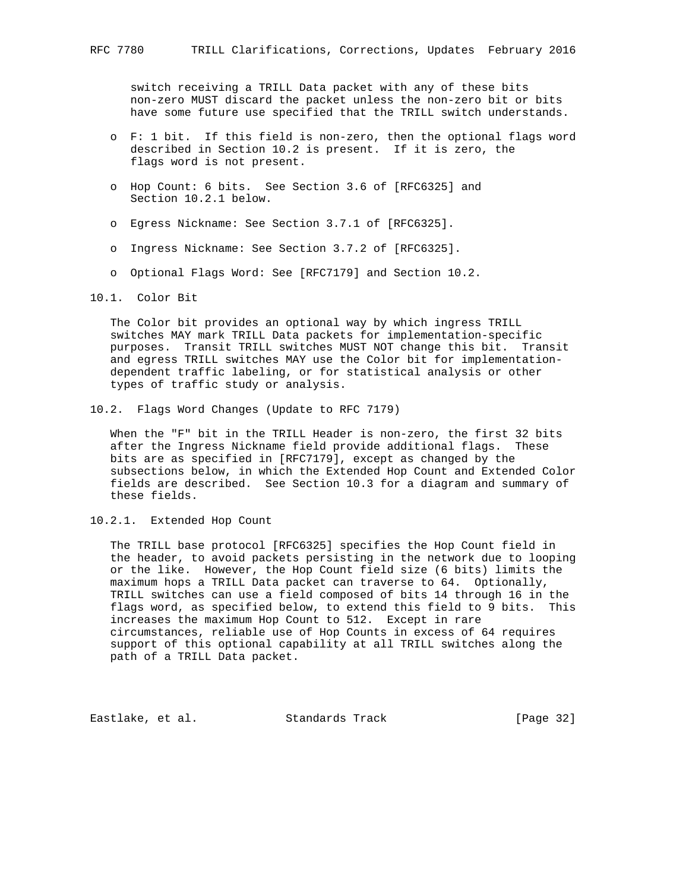switch receiving a TRILL Data packet with any of these bits non-zero MUST discard the packet unless the non-zero bit or bits have some future use specified that the TRILL switch understands.

- o F: 1 bit. If this field is non-zero, then the optional flags word described in Section 10.2 is present. If it is zero, the flags word is not present.
- o Hop Count: 6 bits. See Section 3.6 of [RFC6325] and Section 10.2.1 below.
- o Egress Nickname: See Section 3.7.1 of [RFC6325].
- o Ingress Nickname: See Section 3.7.2 of [RFC6325].
- o Optional Flags Word: See [RFC7179] and Section 10.2.
- 10.1. Color Bit

 The Color bit provides an optional way by which ingress TRILL switches MAY mark TRILL Data packets for implementation-specific purposes. Transit TRILL switches MUST NOT change this bit. Transit and egress TRILL switches MAY use the Color bit for implementation dependent traffic labeling, or for statistical analysis or other types of traffic study or analysis.

10.2. Flags Word Changes (Update to RFC 7179)

 When the "F" bit in the TRILL Header is non-zero, the first 32 bits after the Ingress Nickname field provide additional flags. These bits are as specified in [RFC7179], except as changed by the subsections below, in which the Extended Hop Count and Extended Color fields are described. See Section 10.3 for a diagram and summary of these fields.

10.2.1. Extended Hop Count

 The TRILL base protocol [RFC6325] specifies the Hop Count field in the header, to avoid packets persisting in the network due to looping or the like. However, the Hop Count field size (6 bits) limits the maximum hops a TRILL Data packet can traverse to 64. Optionally, TRILL switches can use a field composed of bits 14 through 16 in the flags word, as specified below, to extend this field to 9 bits. This increases the maximum Hop Count to 512. Except in rare circumstances, reliable use of Hop Counts in excess of 64 requires support of this optional capability at all TRILL switches along the path of a TRILL Data packet.

Eastlake, et al. Standards Track [Page 32]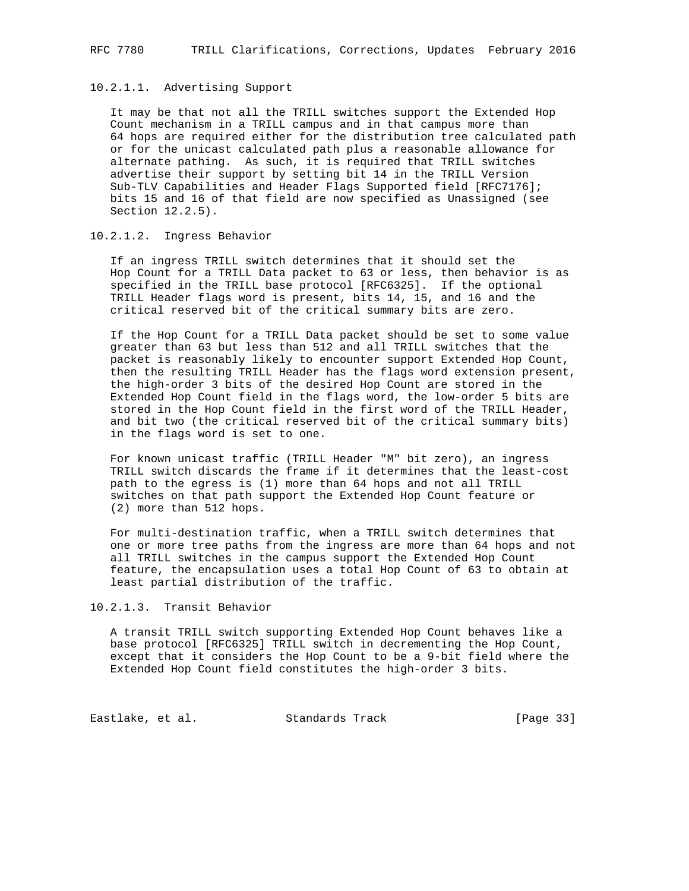## 10.2.1.1. Advertising Support

 It may be that not all the TRILL switches support the Extended Hop Count mechanism in a TRILL campus and in that campus more than 64 hops are required either for the distribution tree calculated path or for the unicast calculated path plus a reasonable allowance for alternate pathing. As such, it is required that TRILL switches advertise their support by setting bit 14 in the TRILL Version Sub-TLV Capabilities and Header Flags Supported field [RFC7176]; bits 15 and 16 of that field are now specified as Unassigned (see Section 12.2.5).

### 10.2.1.2. Ingress Behavior

 If an ingress TRILL switch determines that it should set the Hop Count for a TRILL Data packet to 63 or less, then behavior is as specified in the TRILL base protocol [RFC6325]. If the optional TRILL Header flags word is present, bits 14, 15, and 16 and the critical reserved bit of the critical summary bits are zero.

 If the Hop Count for a TRILL Data packet should be set to some value greater than 63 but less than 512 and all TRILL switches that the packet is reasonably likely to encounter support Extended Hop Count, then the resulting TRILL Header has the flags word extension present, the high-order 3 bits of the desired Hop Count are stored in the Extended Hop Count field in the flags word, the low-order 5 bits are stored in the Hop Count field in the first word of the TRILL Header, and bit two (the critical reserved bit of the critical summary bits) in the flags word is set to one.

 For known unicast traffic (TRILL Header "M" bit zero), an ingress TRILL switch discards the frame if it determines that the least-cost path to the egress is (1) more than 64 hops and not all TRILL switches on that path support the Extended Hop Count feature or (2) more than 512 hops.

 For multi-destination traffic, when a TRILL switch determines that one or more tree paths from the ingress are more than 64 hops and not all TRILL switches in the campus support the Extended Hop Count feature, the encapsulation uses a total Hop Count of 63 to obtain at least partial distribution of the traffic.

10.2.1.3. Transit Behavior

 A transit TRILL switch supporting Extended Hop Count behaves like a base protocol [RFC6325] TRILL switch in decrementing the Hop Count, except that it considers the Hop Count to be a 9-bit field where the Extended Hop Count field constitutes the high-order 3 bits.

Eastlake, et al. Standards Track [Page 33]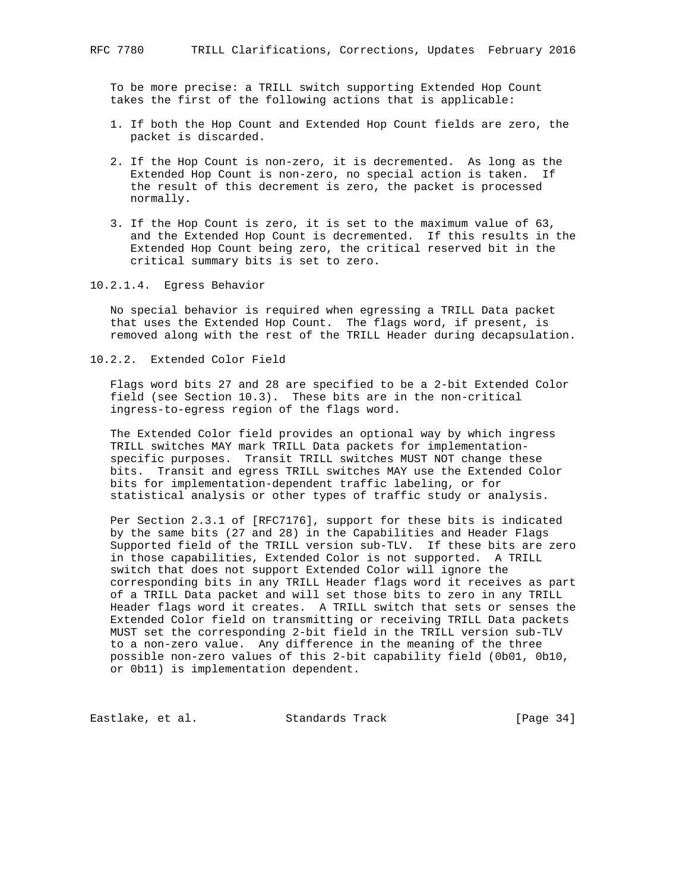To be more precise: a TRILL switch supporting Extended Hop Count takes the first of the following actions that is applicable:

- 1. If both the Hop Count and Extended Hop Count fields are zero, the packet is discarded.
- 2. If the Hop Count is non-zero, it is decremented. As long as the Extended Hop Count is non-zero, no special action is taken. If the result of this decrement is zero, the packet is processed normally.
- 3. If the Hop Count is zero, it is set to the maximum value of 63, and the Extended Hop Count is decremented. If this results in the Extended Hop Count being zero, the critical reserved bit in the critical summary bits is set to zero.
- 10.2.1.4. Egress Behavior

 No special behavior is required when egressing a TRILL Data packet that uses the Extended Hop Count. The flags word, if present, is removed along with the rest of the TRILL Header during decapsulation.

10.2.2. Extended Color Field

 Flags word bits 27 and 28 are specified to be a 2-bit Extended Color field (see Section 10.3). These bits are in the non-critical ingress-to-egress region of the flags word.

 The Extended Color field provides an optional way by which ingress TRILL switches MAY mark TRILL Data packets for implementation specific purposes. Transit TRILL switches MUST NOT change these bits. Transit and egress TRILL switches MAY use the Extended Color bits for implementation-dependent traffic labeling, or for statistical analysis or other types of traffic study or analysis.

 Per Section 2.3.1 of [RFC7176], support for these bits is indicated by the same bits (27 and 28) in the Capabilities and Header Flags Supported field of the TRILL version sub-TLV. If these bits are zero in those capabilities, Extended Color is not supported. A TRILL switch that does not support Extended Color will ignore the corresponding bits in any TRILL Header flags word it receives as part of a TRILL Data packet and will set those bits to zero in any TRILL Header flags word it creates. A TRILL switch that sets or senses the Extended Color field on transmitting or receiving TRILL Data packets MUST set the corresponding 2-bit field in the TRILL version sub-TLV to a non-zero value. Any difference in the meaning of the three possible non-zero values of this 2-bit capability field (0b01, 0b10, or 0b11) is implementation dependent.

Eastlake, et al. Standards Track [Page 34]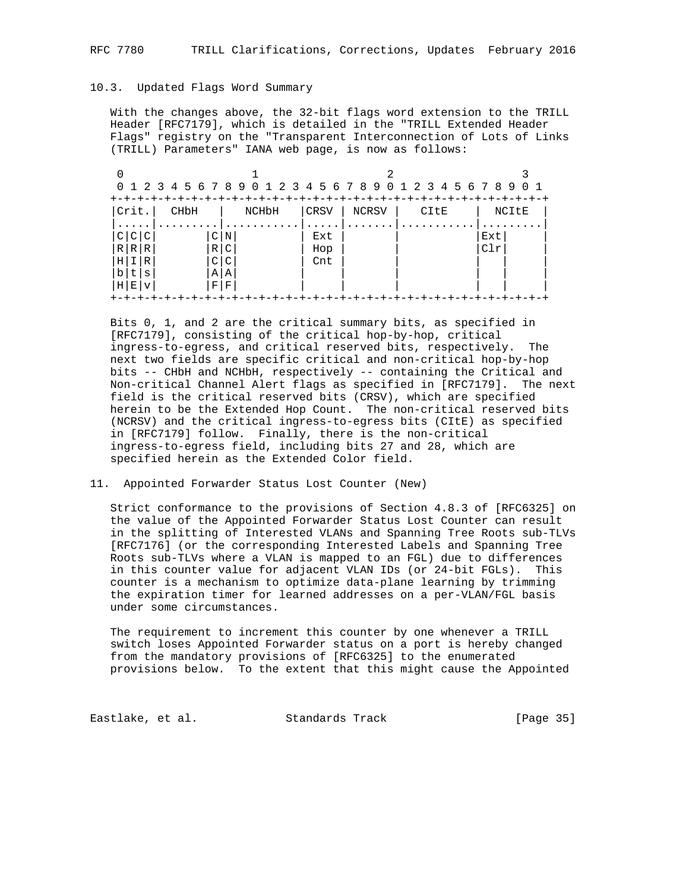#### 10.3. Updated Flags Word Summary

 With the changes above, the 32-bit flags word extension to the TRILL Header [RFC7179], which is detailed in the "TRILL Extended Header Flags" registry on the "Transparent Interconnection of Lots of Links (TRILL) Parameters" IANA web page, is now as follows:

|                         | 0 1 2 3 4 5 6 7 8 9 0 1 |                |      | 2 3 4 5 6 7 8 9 0 | 2<br>3 | 456789<br>O 1 |
|-------------------------|-------------------------|----------------|------|-------------------|--------|---------------|
|                         |                         |                |      |                   |        |               |
| Crit.                   | CHbH                    | NCHbH          | CRSV | <b>NCRSV</b>      | CItE   | NCItE         |
|                         |                         |                |      |                   |        |               |
| $\sim$<br>◠             | $\mathcal{C}$           | N              | Ext  |                   |        | Ext           |
| R<br>$R \mid$<br>R I    | $R \mid$                | $\overline{C}$ | Hop  |                   |        | C1r           |
| R<br>ΗI<br>ΙI           | $\overline{C}$          | C              | Cnt  |                   |        |               |
| t.<br>$\mathsf{D}$<br>S | ΑI                      | A              |      |                   |        |               |
| ΗI<br>Е<br>v            | $_{\rm F}$              | F              |      |                   |        |               |

 Bits 0, 1, and 2 are the critical summary bits, as specified in [RFC7179], consisting of the critical hop-by-hop, critical ingress-to-egress, and critical reserved bits, respectively. The next two fields are specific critical and non-critical hop-by-hop bits -- CHbH and NCHbH, respectively -- containing the Critical and Non-critical Channel Alert flags as specified in [RFC7179]. The next field is the critical reserved bits (CRSV), which are specified herein to be the Extended Hop Count. The non-critical reserved bits (NCRSV) and the critical ingress-to-egress bits (CItE) as specified in [RFC7179] follow. Finally, there is the non-critical ingress-to-egress field, including bits 27 and 28, which are specified herein as the Extended Color field.

11. Appointed Forwarder Status Lost Counter (New)

 Strict conformance to the provisions of Section 4.8.3 of [RFC6325] on the value of the Appointed Forwarder Status Lost Counter can result in the splitting of Interested VLANs and Spanning Tree Roots sub-TLVs [RFC7176] (or the corresponding Interested Labels and Spanning Tree Roots sub-TLVs where a VLAN is mapped to an FGL) due to differences in this counter value for adjacent VLAN IDs (or 24-bit FGLs). This counter is a mechanism to optimize data-plane learning by trimming the expiration timer for learned addresses on a per-VLAN/FGL basis under some circumstances.

 The requirement to increment this counter by one whenever a TRILL switch loses Appointed Forwarder status on a port is hereby changed from the mandatory provisions of [RFC6325] to the enumerated provisions below. To the extent that this might cause the Appointed

Eastlake, et al. Standards Track [Page 35]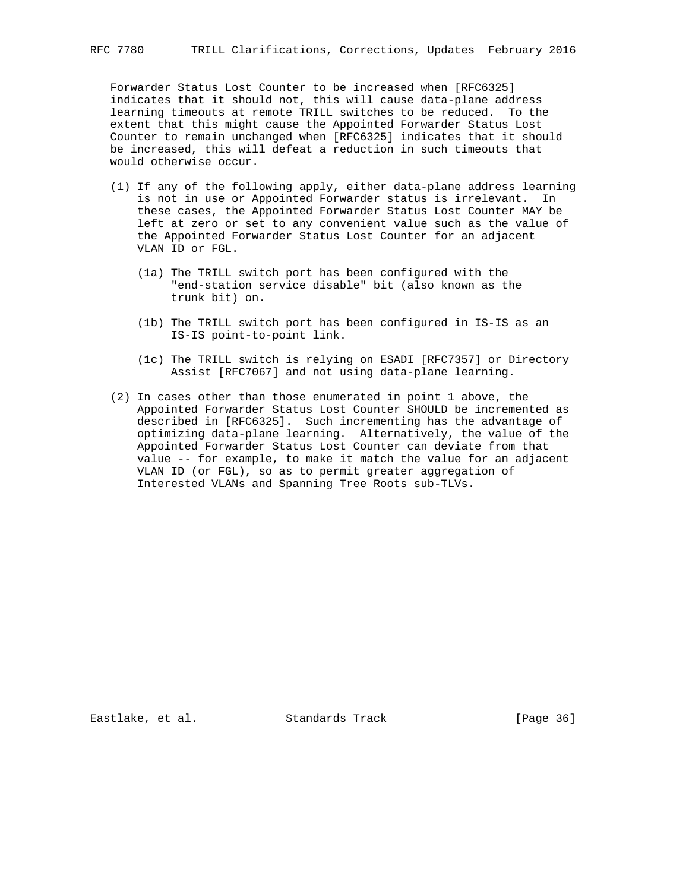Forwarder Status Lost Counter to be increased when [RFC6325] indicates that it should not, this will cause data-plane address learning timeouts at remote TRILL switches to be reduced. To the extent that this might cause the Appointed Forwarder Status Lost Counter to remain unchanged when [RFC6325] indicates that it should be increased, this will defeat a reduction in such timeouts that would otherwise occur.

- (1) If any of the following apply, either data-plane address learning is not in use or Appointed Forwarder status is irrelevant. In these cases, the Appointed Forwarder Status Lost Counter MAY be left at zero or set to any convenient value such as the value of the Appointed Forwarder Status Lost Counter for an adjacent VLAN ID or FGL.
	- (1a) The TRILL switch port has been configured with the "end-station service disable" bit (also known as the trunk bit) on.
	- (1b) The TRILL switch port has been configured in IS-IS as an IS-IS point-to-point link.
	- (1c) The TRILL switch is relying on ESADI [RFC7357] or Directory Assist [RFC7067] and not using data-plane learning.
- (2) In cases other than those enumerated in point 1 above, the Appointed Forwarder Status Lost Counter SHOULD be incremented as described in [RFC6325]. Such incrementing has the advantage of optimizing data-plane learning. Alternatively, the value of the Appointed Forwarder Status Lost Counter can deviate from that value -- for example, to make it match the value for an adjacent VLAN ID (or FGL), so as to permit greater aggregation of Interested VLANs and Spanning Tree Roots sub-TLVs.

Eastlake, et al. Standards Track [Page 36]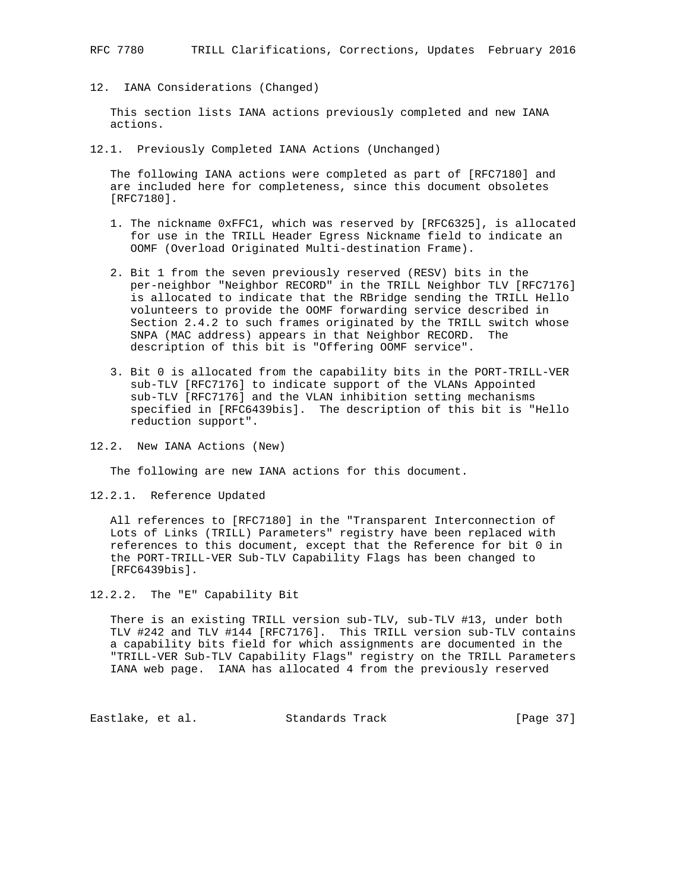12. IANA Considerations (Changed)

 This section lists IANA actions previously completed and new IANA actions.

12.1. Previously Completed IANA Actions (Unchanged)

 The following IANA actions were completed as part of [RFC7180] and are included here for completeness, since this document obsoletes [RFC7180].

- 1. The nickname 0xFFC1, which was reserved by [RFC6325], is allocated for use in the TRILL Header Egress Nickname field to indicate an OOMF (Overload Originated Multi-destination Frame).
- 2. Bit 1 from the seven previously reserved (RESV) bits in the per-neighbor "Neighbor RECORD" in the TRILL Neighbor TLV [RFC7176] is allocated to indicate that the RBridge sending the TRILL Hello volunteers to provide the OOMF forwarding service described in Section 2.4.2 to such frames originated by the TRILL switch whose SNPA (MAC address) appears in that Neighbor RECORD. The description of this bit is "Offering OOMF service".
- 3. Bit 0 is allocated from the capability bits in the PORT-TRILL-VER sub-TLV [RFC7176] to indicate support of the VLANs Appointed sub-TLV [RFC7176] and the VLAN inhibition setting mechanisms specified in [RFC6439bis]. The description of this bit is "Hello reduction support".
- 12.2. New IANA Actions (New)

The following are new IANA actions for this document.

12.2.1. Reference Updated

 All references to [RFC7180] in the "Transparent Interconnection of Lots of Links (TRILL) Parameters" registry have been replaced with references to this document, except that the Reference for bit 0 in the PORT-TRILL-VER Sub-TLV Capability Flags has been changed to [RFC6439bis].

12.2.2. The "E" Capability Bit

 There is an existing TRILL version sub-TLV, sub-TLV #13, under both TLV #242 and TLV #144 [RFC7176]. This TRILL version sub-TLV contains a capability bits field for which assignments are documented in the "TRILL-VER Sub-TLV Capability Flags" registry on the TRILL Parameters IANA web page. IANA has allocated 4 from the previously reserved

Eastlake, et al. Standards Track [Page 37]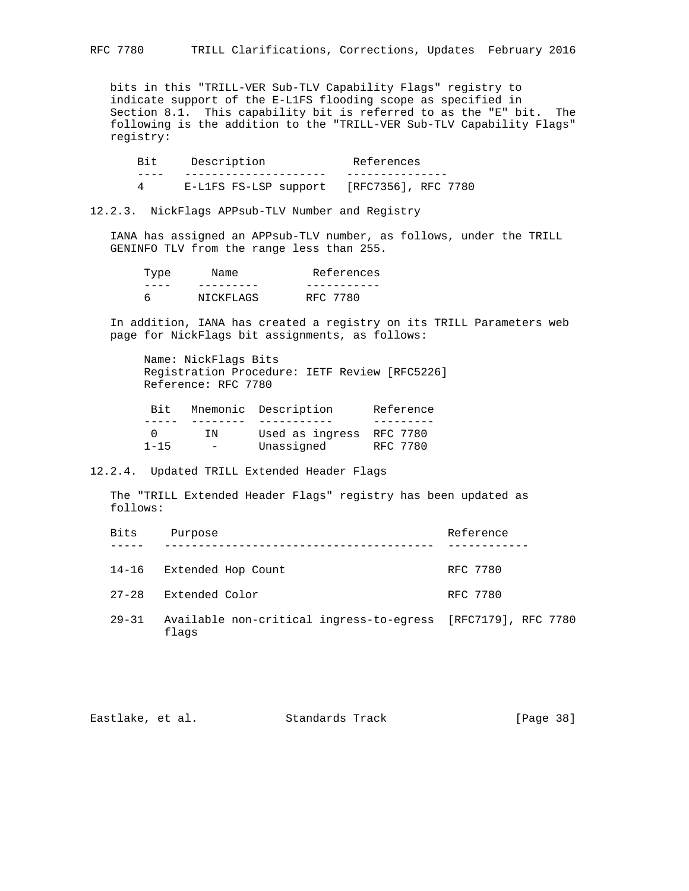bits in this "TRILL-VER Sub-TLV Capability Flags" registry to indicate support of the E-L1FS flooding scope as specified in Section 8.1. This capability bit is referred to as the "E" bit. The following is the addition to the "TRILL-VER Sub-TLV Capability Flags" registry:

Bit Description References ---- --------------------- --------------- 4 E-L1FS FS-LSP support [RFC7356], RFC 7780

12.2.3. NickFlags APPsub-TLV Number and Registry

 IANA has assigned an APPsub-TLV number, as follows, under the TRILL GENINFO TLV from the range less than 255.

| Type | Name      | References |
|------|-----------|------------|
|      |           |            |
|      | NICKFLAGS | RFC 7780   |

 In addition, IANA has created a registry on its TRILL Parameters web page for NickFlags bit assignments, as follows:

 Name: NickFlags Bits Registration Procedure: IETF Review [RFC5226] Reference: RFC 7780

| Bit.     |     | Mnemonic Description     | Reference |
|----------|-----|--------------------------|-----------|
|          |     |                          |           |
|          | TN  | Used as ingress RFC 7780 |           |
| $1 - 15$ | $-$ | Unassigned               | RFC 7780  |

12.2.4. Updated TRILL Extended Header Flags

 The "TRILL Extended Header Flags" registry has been updated as follows:

| <b>Bits</b> | Purpose                                                               | Reference |
|-------------|-----------------------------------------------------------------------|-----------|
| 14-16       | Extended Hop Count                                                    | RFC 7780  |
| $27 - 28$   | Extended Color                                                        | RFC 7780  |
| 29-31       | Available non-critical ingress-to-egress [RFC7179], RFC 7780<br>flags |           |

| [Page 38]<br>Eastlake, et al.<br>Standards Track |  |  |
|--------------------------------------------------|--|--|
|--------------------------------------------------|--|--|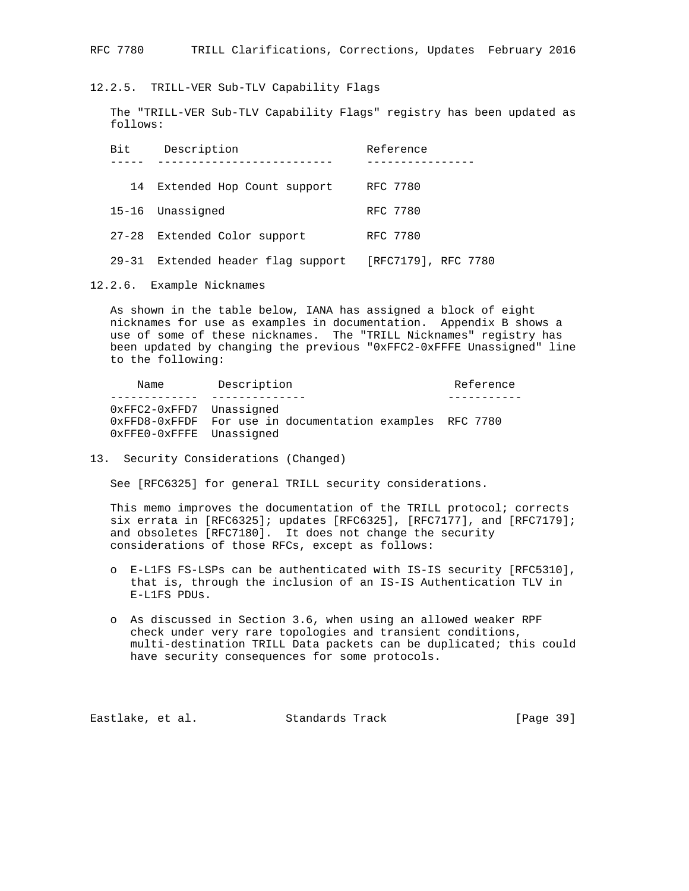12.2.5. TRILL-VER Sub-TLV Capability Flags

 The "TRILL-VER Sub-TLV Capability Flags" registry has been updated as follows:

| Bit | Description                        | Reference           |
|-----|------------------------------------|---------------------|
|     |                                    |                     |
| 14  | Extended Hop Count support         | RFC 7780            |
|     | 15-16 Unassigned                   | RFC 7780            |
|     | 27-28 Extended Color support       | RFC 7780            |
|     | 29-31 Extended header flag support | [RFC7179], RFC 7780 |

12.2.6. Example Nicknames

 As shown in the table below, IANA has assigned a block of eight nicknames for use as examples in documentation. Appendix B shows a use of some of these nicknames. The "TRILL Nicknames" registry has been updated by changing the previous "0xFFC2-0xFFFE Unassigned" line to the following:

Name Description **Name** Reference ------------- -------------- ----------- 0xFFC2-0xFFD7 Unassigned 0xFFD8-0xFFDF For use in documentation examples RFC 7780 0xFFE0-0xFFFE Unassigned

13. Security Considerations (Changed)

See [RFC6325] for general TRILL security considerations.

This memo improves the documentation of the TRILL protocol; corrects six errata in [RFC6325]; updates [RFC6325], [RFC7177], and [RFC7179]; and obsoletes [RFC7180]. It does not change the security considerations of those RFCs, except as follows:

- o E-L1FS FS-LSPs can be authenticated with IS-IS security [RFC5310], that is, through the inclusion of an IS-IS Authentication TLV in E-L1FS PDUs.
- o As discussed in Section 3.6, when using an allowed weaker RPF check under very rare topologies and transient conditions, multi-destination TRILL Data packets can be duplicated; this could have security consequences for some protocols.

Eastlake, et al. Standards Track [Page 39]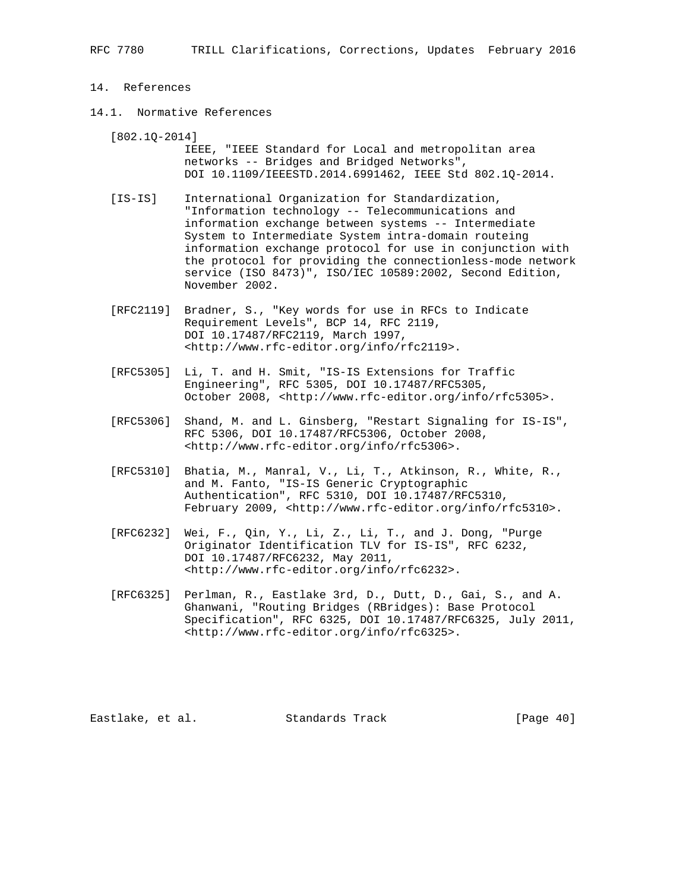## 14. References

14.1. Normative References

[802.1Q-2014]

 IEEE, "IEEE Standard for Local and metropolitan area networks -- Bridges and Bridged Networks", DOI 10.1109/IEEESTD.2014.6991462, IEEE Std 802.1Q-2014.

- [IS-IS] International Organization for Standardization, "Information technology -- Telecommunications and information exchange between systems -- Intermediate System to Intermediate System intra-domain routeing information exchange protocol for use in conjunction with the protocol for providing the connectionless-mode network service (ISO 8473)", ISO/IEC 10589:2002, Second Edition, November 2002.
- [RFC2119] Bradner, S., "Key words for use in RFCs to Indicate Requirement Levels", BCP 14, RFC 2119, DOI 10.17487/RFC2119, March 1997, <http://www.rfc-editor.org/info/rfc2119>.
- [RFC5305] Li, T. and H. Smit, "IS-IS Extensions for Traffic Engineering", RFC 5305, DOI 10.17487/RFC5305, October 2008, <http://www.rfc-editor.org/info/rfc5305>.
- [RFC5306] Shand, M. and L. Ginsberg, "Restart Signaling for IS-IS", RFC 5306, DOI 10.17487/RFC5306, October 2008, <http://www.rfc-editor.org/info/rfc5306>.
- [RFC5310] Bhatia, M., Manral, V., Li, T., Atkinson, R., White, R., and M. Fanto, "IS-IS Generic Cryptographic Authentication", RFC 5310, DOI 10.17487/RFC5310, February 2009, <http://www.rfc-editor.org/info/rfc5310>.
- [RFC6232] Wei, F., Qin, Y., Li, Z., Li, T., and J. Dong, "Purge Originator Identification TLV for IS-IS", RFC 6232, DOI 10.17487/RFC6232, May 2011, <http://www.rfc-editor.org/info/rfc6232>.
- [RFC6325] Perlman, R., Eastlake 3rd, D., Dutt, D., Gai, S., and A. Ghanwani, "Routing Bridges (RBridges): Base Protocol Specification", RFC 6325, DOI 10.17487/RFC6325, July 2011, <http://www.rfc-editor.org/info/rfc6325>.

Eastlake, et al. Standards Track [Page 40]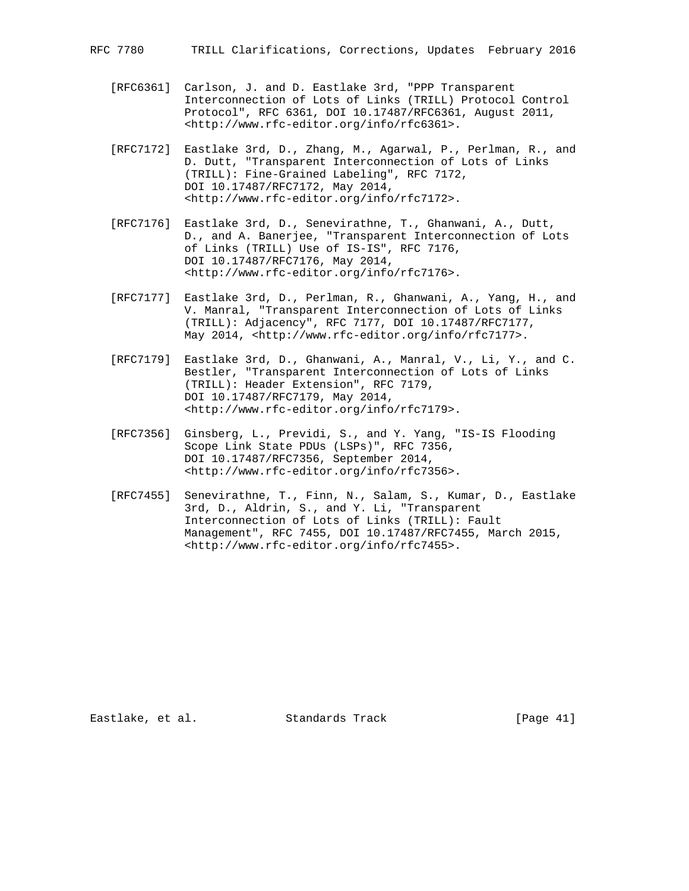- [RFC6361] Carlson, J. and D. Eastlake 3rd, "PPP Transparent Interconnection of Lots of Links (TRILL) Protocol Control Protocol", RFC 6361, DOI 10.17487/RFC6361, August 2011, <http://www.rfc-editor.org/info/rfc6361>.
- [RFC7172] Eastlake 3rd, D., Zhang, M., Agarwal, P., Perlman, R., and D. Dutt, "Transparent Interconnection of Lots of Links (TRILL): Fine-Grained Labeling", RFC 7172, DOI 10.17487/RFC7172, May 2014, <http://www.rfc-editor.org/info/rfc7172>.
- [RFC7176] Eastlake 3rd, D., Senevirathne, T., Ghanwani, A., Dutt, D., and A. Banerjee, "Transparent Interconnection of Lots of Links (TRILL) Use of IS-IS", RFC 7176, DOI 10.17487/RFC7176, May 2014, <http://www.rfc-editor.org/info/rfc7176>.
- [RFC7177] Eastlake 3rd, D., Perlman, R., Ghanwani, A., Yang, H., and V. Manral, "Transparent Interconnection of Lots of Links (TRILL): Adjacency", RFC 7177, DOI 10.17487/RFC7177, May 2014, <http://www.rfc-editor.org/info/rfc7177>.
- [RFC7179] Eastlake 3rd, D., Ghanwani, A., Manral, V., Li, Y., and C. Bestler, "Transparent Interconnection of Lots of Links (TRILL): Header Extension", RFC 7179, DOI 10.17487/RFC7179, May 2014, <http://www.rfc-editor.org/info/rfc7179>.
- [RFC7356] Ginsberg, L., Previdi, S., and Y. Yang, "IS-IS Flooding Scope Link State PDUs (LSPs)", RFC 7356, DOI 10.17487/RFC7356, September 2014, <http://www.rfc-editor.org/info/rfc7356>.
- [RFC7455] Senevirathne, T., Finn, N., Salam, S., Kumar, D., Eastlake 3rd, D., Aldrin, S., and Y. Li, "Transparent Interconnection of Lots of Links (TRILL): Fault Management", RFC 7455, DOI 10.17487/RFC7455, March 2015, <http://www.rfc-editor.org/info/rfc7455>.

Eastlake, et al. Standards Track [Page 41]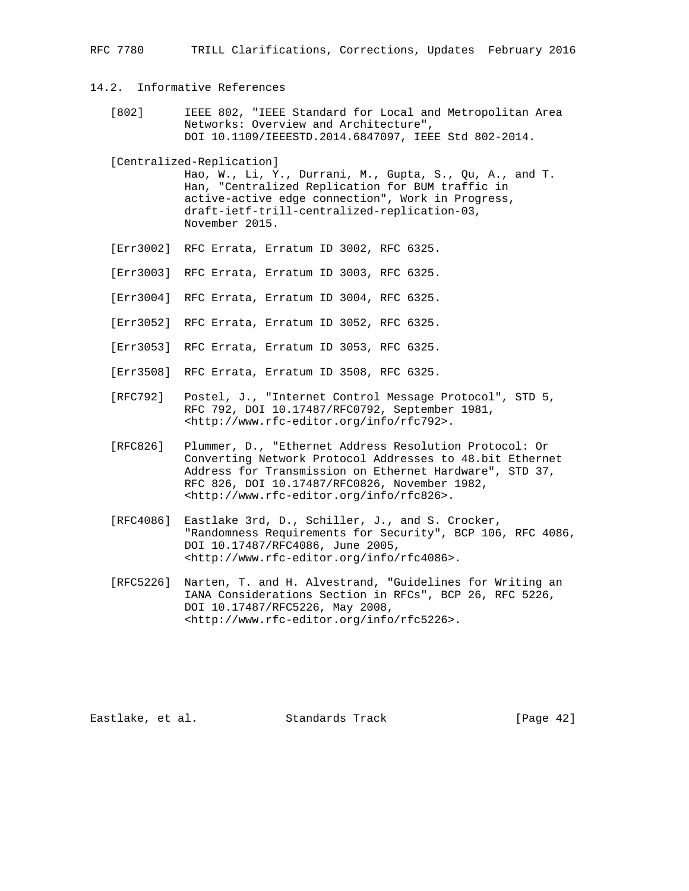## 14.2. Informative References

 [802] IEEE 802, "IEEE Standard for Local and Metropolitan Area Networks: Overview and Architecture", DOI 10.1109/IEEESTD.2014.6847097, IEEE Std 802-2014.

[Centralized-Replication]

 Hao, W., Li, Y., Durrani, M., Gupta, S., Qu, A., and T. Han, "Centralized Replication for BUM traffic in active-active edge connection", Work in Progress, draft-ietf-trill-centralized-replication-03, November 2015.

- [Err3002] RFC Errata, Erratum ID 3002, RFC 6325.
- [Err3003] RFC Errata, Erratum ID 3003, RFC 6325.
- [Err3004] RFC Errata, Erratum ID 3004, RFC 6325.
- [Err3052] RFC Errata, Erratum ID 3052, RFC 6325.
- [Err3053] RFC Errata, Erratum ID 3053, RFC 6325.
- [Err3508] RFC Errata, Erratum ID 3508, RFC 6325.
- [RFC792] Postel, J., "Internet Control Message Protocol", STD 5, RFC 792, DOI 10.17487/RFC0792, September 1981, <http://www.rfc-editor.org/info/rfc792>.
- [RFC826] Plummer, D., "Ethernet Address Resolution Protocol: Or Converting Network Protocol Addresses to 48.bit Ethernet Address for Transmission on Ethernet Hardware", STD 37, RFC 826, DOI 10.17487/RFC0826, November 1982, <http://www.rfc-editor.org/info/rfc826>.
- [RFC4086] Eastlake 3rd, D., Schiller, J., and S. Crocker, "Randomness Requirements for Security", BCP 106, RFC 4086, DOI 10.17487/RFC4086, June 2005, <http://www.rfc-editor.org/info/rfc4086>.
- [RFC5226] Narten, T. and H. Alvestrand, "Guidelines for Writing an IANA Considerations Section in RFCs", BCP 26, RFC 5226, DOI 10.17487/RFC5226, May 2008, <http://www.rfc-editor.org/info/rfc5226>.

Eastlake, et al. Standards Track [Page 42]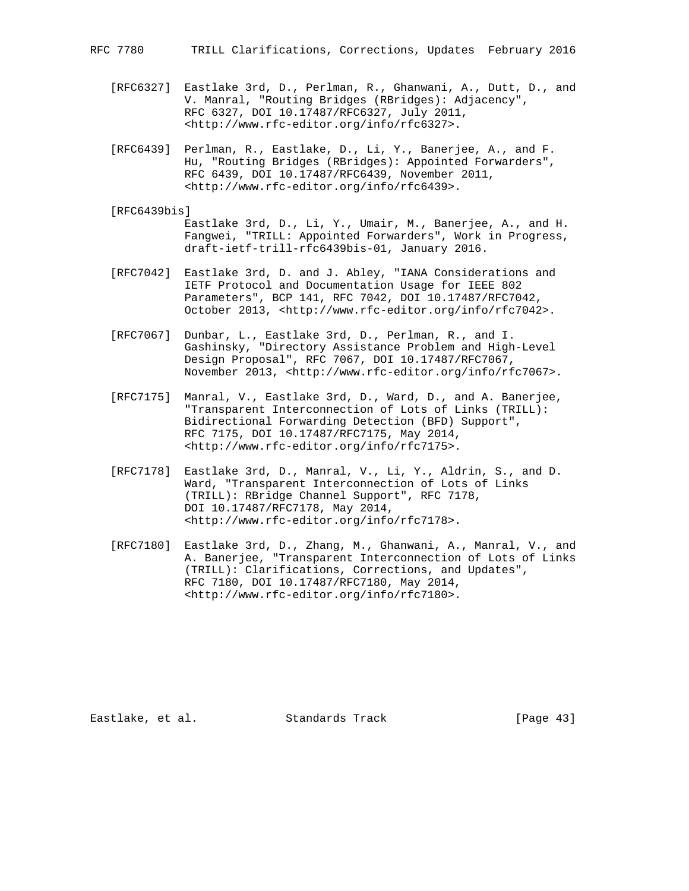- [RFC6327] Eastlake 3rd, D., Perlman, R., Ghanwani, A., Dutt, D., and V. Manral, "Routing Bridges (RBridges): Adjacency", RFC 6327, DOI 10.17487/RFC6327, July 2011, <http://www.rfc-editor.org/info/rfc6327>.
- [RFC6439] Perlman, R., Eastlake, D., Li, Y., Banerjee, A., and F. Hu, "Routing Bridges (RBridges): Appointed Forwarders", RFC 6439, DOI 10.17487/RFC6439, November 2011, <http://www.rfc-editor.org/info/rfc6439>.

#### [RFC6439bis]

 Eastlake 3rd, D., Li, Y., Umair, M., Banerjee, A., and H. Fangwei, "TRILL: Appointed Forwarders", Work in Progress, draft-ietf-trill-rfc6439bis-01, January 2016.

- [RFC7042] Eastlake 3rd, D. and J. Abley, "IANA Considerations and IETF Protocol and Documentation Usage for IEEE 802 Parameters", BCP 141, RFC 7042, DOI 10.17487/RFC7042, October 2013, <http://www.rfc-editor.org/info/rfc7042>.
- [RFC7067] Dunbar, L., Eastlake 3rd, D., Perlman, R., and I. Gashinsky, "Directory Assistance Problem and High-Level Design Proposal", RFC 7067, DOI 10.17487/RFC7067, November 2013, <http://www.rfc-editor.org/info/rfc7067>.
- [RFC7175] Manral, V., Eastlake 3rd, D., Ward, D., and A. Banerjee, "Transparent Interconnection of Lots of Links (TRILL): Bidirectional Forwarding Detection (BFD) Support", RFC 7175, DOI 10.17487/RFC7175, May 2014, <http://www.rfc-editor.org/info/rfc7175>.
- [RFC7178] Eastlake 3rd, D., Manral, V., Li, Y., Aldrin, S., and D. Ward, "Transparent Interconnection of Lots of Links (TRILL): RBridge Channel Support", RFC 7178, DOI 10.17487/RFC7178, May 2014, <http://www.rfc-editor.org/info/rfc7178>.
- [RFC7180] Eastlake 3rd, D., Zhang, M., Ghanwani, A., Manral, V., and A. Banerjee, "Transparent Interconnection of Lots of Links (TRILL): Clarifications, Corrections, and Updates", RFC 7180, DOI 10.17487/RFC7180, May 2014, <http://www.rfc-editor.org/info/rfc7180>.

Eastlake, et al. Standards Track [Page 43]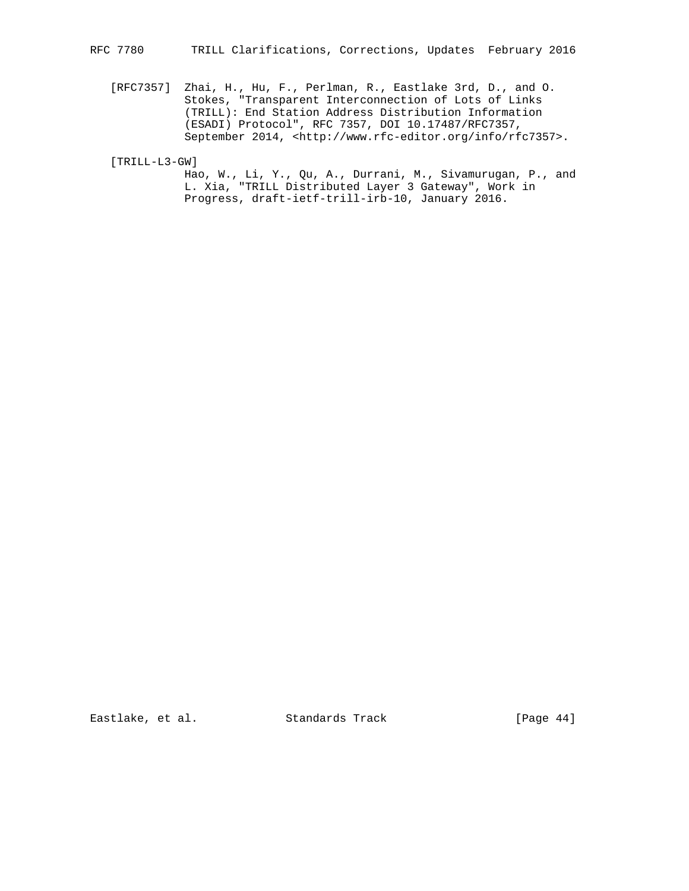[RFC7357] Zhai, H., Hu, F., Perlman, R., Eastlake 3rd, D., and O. Stokes, "Transparent Interconnection of Lots of Links (TRILL): End Station Address Distribution Information (ESADI) Protocol", RFC 7357, DOI 10.17487/RFC7357, September 2014, <http://www.rfc-editor.org/info/rfc7357>.

[TRILL-L3-GW]

 Hao, W., Li, Y., Qu, A., Durrani, M., Sivamurugan, P., and L. Xia, "TRILL Distributed Layer 3 Gateway", Work in Progress, draft-ietf-trill-irb-10, January 2016.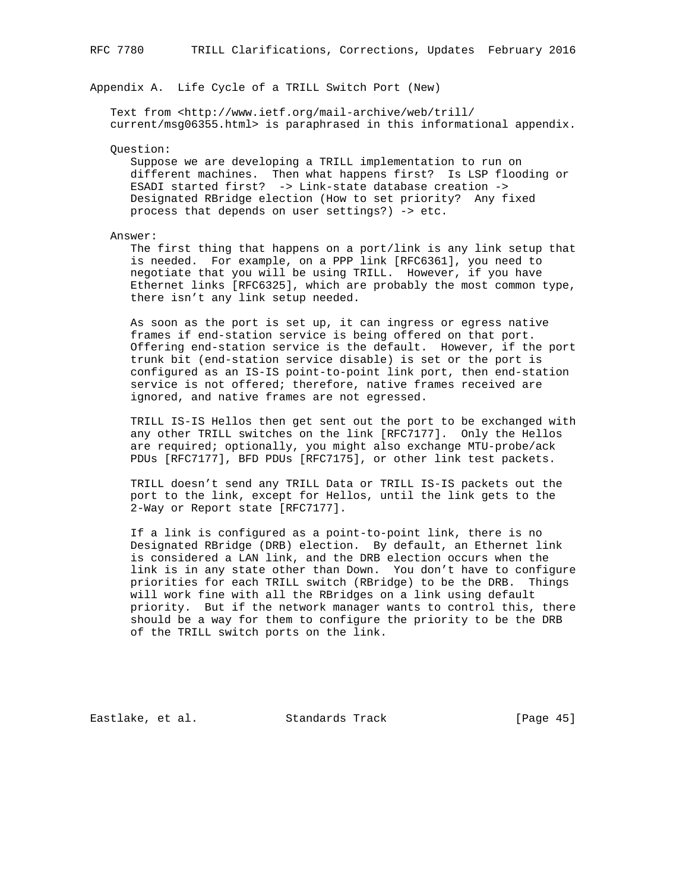## Appendix A. Life Cycle of a TRILL Switch Port (New)

 Text from <http://www.ietf.org/mail-archive/web/trill/ current/msg06355.html> is paraphrased in this informational appendix.

Question:

 Suppose we are developing a TRILL implementation to run on different machines. Then what happens first? Is LSP flooding or ESADI started first? -> Link-state database creation -> Designated RBridge election (How to set priority? Any fixed process that depends on user settings?) -> etc.

Answer:

 The first thing that happens on a port/link is any link setup that is needed. For example, on a PPP link [RFC6361], you need to negotiate that you will be using TRILL. However, if you have Ethernet links [RFC6325], which are probably the most common type, there isn't any link setup needed.

 As soon as the port is set up, it can ingress or egress native frames if end-station service is being offered on that port. Offering end-station service is the default. However, if the port trunk bit (end-station service disable) is set or the port is configured as an IS-IS point-to-point link port, then end-station service is not offered; therefore, native frames received are ignored, and native frames are not egressed.

 TRILL IS-IS Hellos then get sent out the port to be exchanged with any other TRILL switches on the link [RFC7177]. Only the Hellos are required; optionally, you might also exchange MTU-probe/ack PDUs [RFC7177], BFD PDUs [RFC7175], or other link test packets.

 TRILL doesn't send any TRILL Data or TRILL IS-IS packets out the port to the link, except for Hellos, until the link gets to the 2-Way or Report state [RFC7177].

 If a link is configured as a point-to-point link, there is no Designated RBridge (DRB) election. By default, an Ethernet link is considered a LAN link, and the DRB election occurs when the link is in any state other than Down. You don't have to configure priorities for each TRILL switch (RBridge) to be the DRB. Things will work fine with all the RBridges on a link using default priority. But if the network manager wants to control this, there should be a way for them to configure the priority to be the DRB of the TRILL switch ports on the link.

Eastlake, et al. Standards Track [Page 45]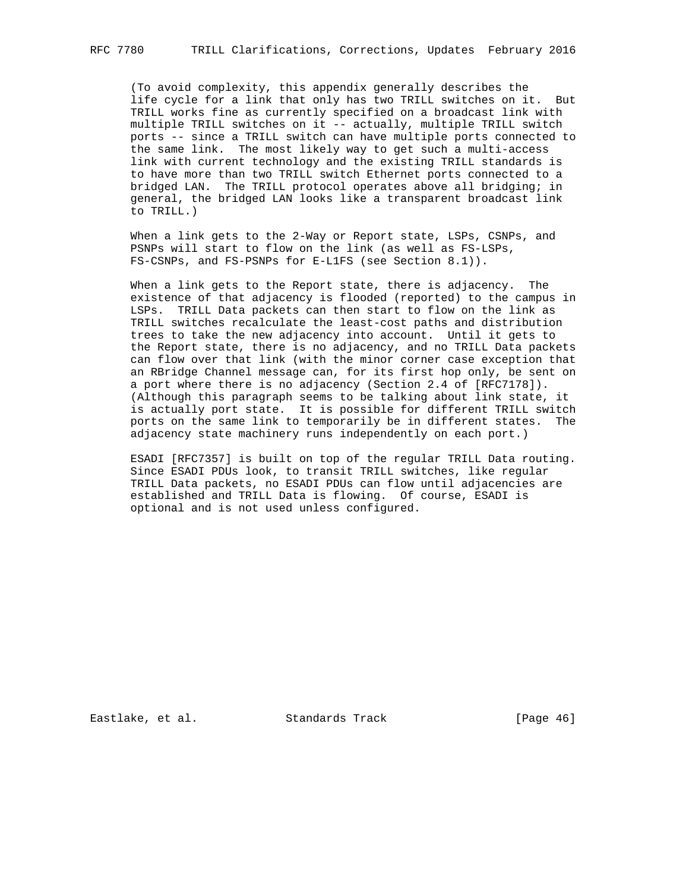(To avoid complexity, this appendix generally describes the life cycle for a link that only has two TRILL switches on it. But TRILL works fine as currently specified on a broadcast link with multiple TRILL switches on it -- actually, multiple TRILL switch ports -- since a TRILL switch can have multiple ports connected to the same link. The most likely way to get such a multi-access link with current technology and the existing TRILL standards is to have more than two TRILL switch Ethernet ports connected to a bridged LAN. The TRILL protocol operates above all bridging; in general, the bridged LAN looks like a transparent broadcast link to TRILL.)

When a link gets to the 2-Way or Report state, LSPs, CSNPs, and PSNPs will start to flow on the link (as well as FS-LSPs, FS-CSNPs, and FS-PSNPs for E-L1FS (see Section 8.1)).

 When a link gets to the Report state, there is adjacency. The existence of that adjacency is flooded (reported) to the campus in LSPs. TRILL Data packets can then start to flow on the link as TRILL switches recalculate the least-cost paths and distribution trees to take the new adjacency into account. Until it gets to the Report state, there is no adjacency, and no TRILL Data packets can flow over that link (with the minor corner case exception that an RBridge Channel message can, for its first hop only, be sent on a port where there is no adjacency (Section 2.4 of [RFC7178]). (Although this paragraph seems to be talking about link state, it is actually port state. It is possible for different TRILL switch ports on the same link to temporarily be in different states. The adjacency state machinery runs independently on each port.)

 ESADI [RFC7357] is built on top of the regular TRILL Data routing. Since ESADI PDUs look, to transit TRILL switches, like regular TRILL Data packets, no ESADI PDUs can flow until adjacencies are established and TRILL Data is flowing. Of course, ESADI is optional and is not used unless configured.

Eastlake, et al. Standards Track [Page 46]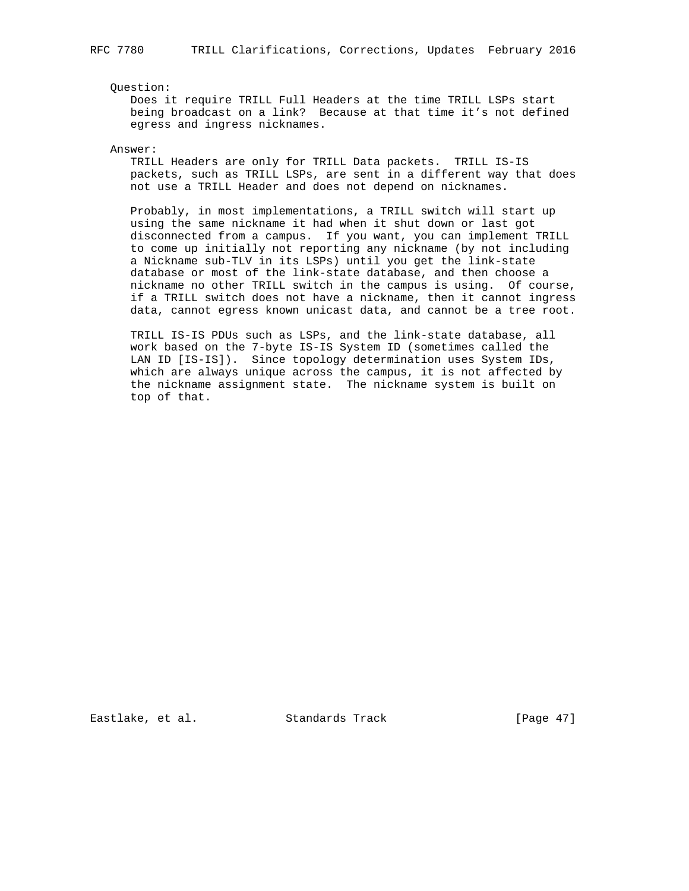Question:

 Does it require TRILL Full Headers at the time TRILL LSPs start being broadcast on a link? Because at that time it's not defined egress and ingress nicknames.

Answer:

 TRILL Headers are only for TRILL Data packets. TRILL IS-IS packets, such as TRILL LSPs, are sent in a different way that does not use a TRILL Header and does not depend on nicknames.

 Probably, in most implementations, a TRILL switch will start up using the same nickname it had when it shut down or last got disconnected from a campus. If you want, you can implement TRILL to come up initially not reporting any nickname (by not including a Nickname sub-TLV in its LSPs) until you get the link-state database or most of the link-state database, and then choose a nickname no other TRILL switch in the campus is using. Of course, if a TRILL switch does not have a nickname, then it cannot ingress data, cannot egress known unicast data, and cannot be a tree root.

 TRILL IS-IS PDUs such as LSPs, and the link-state database, all work based on the 7-byte IS-IS System ID (sometimes called the LAN ID [IS-IS]). Since topology determination uses System IDs, which are always unique across the campus, it is not affected by the nickname assignment state. The nickname system is built on top of that.

Eastlake, et al. Standards Track [Page 47]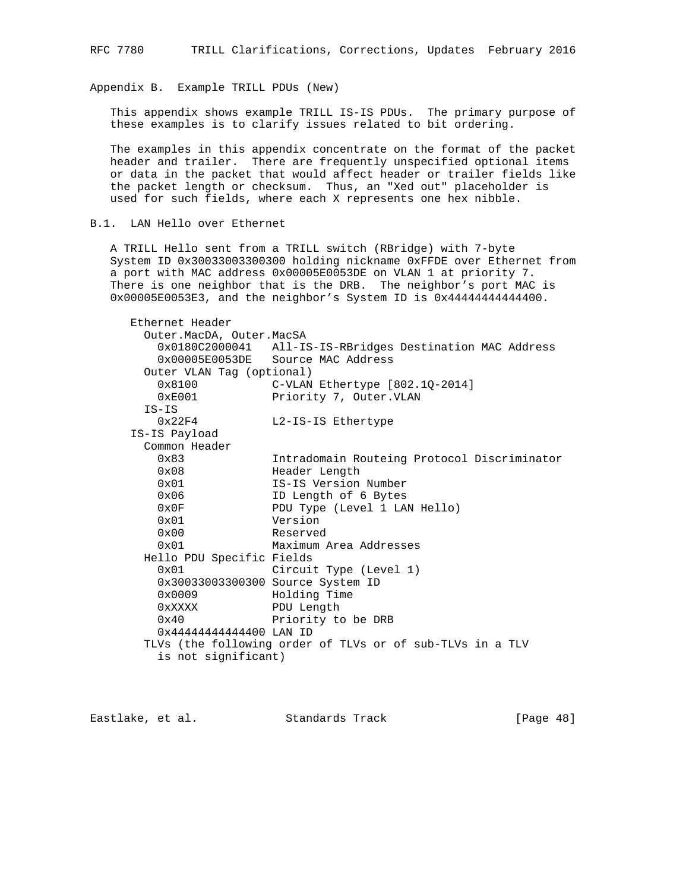Appendix B. Example TRILL PDUs (New)

 This appendix shows example TRILL IS-IS PDUs. The primary purpose of these examples is to clarify issues related to bit ordering.

 The examples in this appendix concentrate on the format of the packet header and trailer. There are frequently unspecified optional items or data in the packet that would affect header or trailer fields like the packet length or checksum. Thus, an "Xed out" placeholder is used for such fields, where each X represents one hex nibble.

B.1. LAN Hello over Ethernet

 A TRILL Hello sent from a TRILL switch (RBridge) with 7-byte System ID 0x30033003300300 holding nickname 0xFFDE over Ethernet from a port with MAC address 0x00005E0053DE on VLAN 1 at priority 7. There is one neighbor that is the DRB. The neighbor's port MAC is 0x00005E0053E3, and the neighbor's System ID is 0x44444444444400.

| Ethernet Header           |                                                           |
|---------------------------|-----------------------------------------------------------|
| Outer.MacDA, Outer.MacSA  |                                                           |
|                           | 0x0180C2000041 All-IS-IS-RBridges Destination MAC Address |
|                           | 0x00005E0053DE Source MAC Address                         |
| Outer VLAN Tag (optional) |                                                           |
| 0x8100                    | $C-VLAN$ Ethertype $[802.10-2014]$                        |
| 0xE001                    | Priority 7, Outer. VLAN                                   |
| $IS-IS$                   |                                                           |
| 0x22F4                    | L2-IS-IS Ethertype                                        |
| IS-IS Payload             |                                                           |
| Common Header             |                                                           |
| 0x83                      | Intradomain Routeing Protocol Discriminator               |
| 0x08                      | Header Length                                             |
| $0 \times 01$             | IS-IS Version Number                                      |
| 0x06                      | ID Length of 6 Bytes                                      |
| 0x0F                      | PDU Type (Level 1 LAN Hello)                              |
| 0x01                      | Version                                                   |
| $0 \times 00$             | Reserved                                                  |
| 0x01                      | Maximum Area Addresses                                    |
| Hello PDU Specific Fields |                                                           |
| 0x01                      | Circuit Type (Level 1)                                    |
|                           | 0x30033003300300 Source System ID                         |
| 0x0009                    | Holding Time                                              |
| 0xXXXX                    | PDU Length                                                |
| $0 \times 40$             | Priority to be DRB                                        |
| 0x44444444444400 LAN ID   |                                                           |
|                           | TLVs (the following order of TLVs or of sub-TLVs in a TLV |
| is not significant)       |                                                           |

Eastlake, et al. Standards Track [Page 48]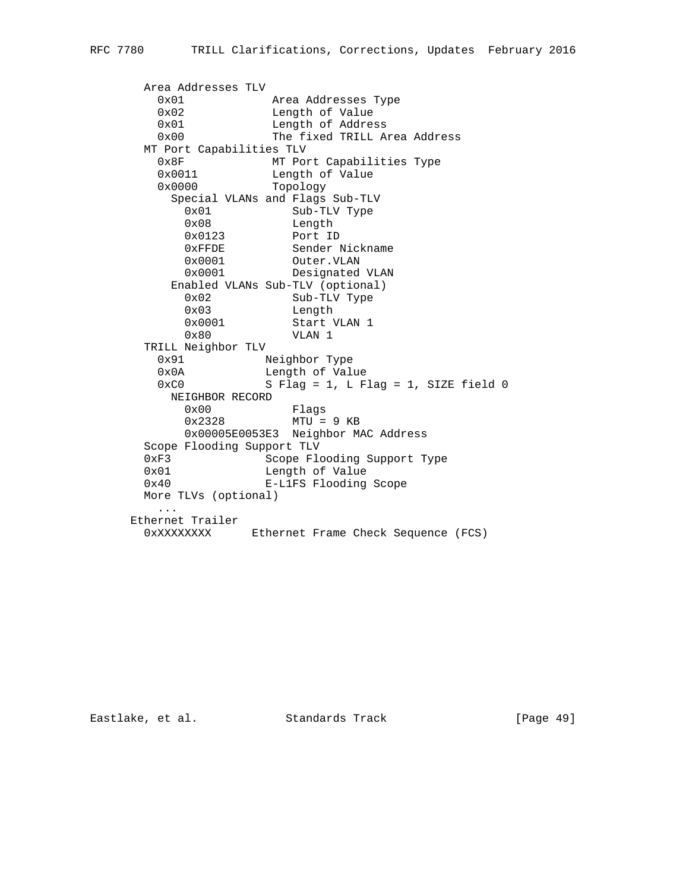```
 Area Addresses TLV
 0x01 Area Addresses Type
0x02 Length of Value
        0x01 Length of Address<br>0x00 The fixed TRILL A
                       The fixed TRILL Area Address
      MT Port Capabilities TLV<br>0x8F MT Por
                      MT Port Capabilities Type
 0x0011 Length of Value
 0x0000 Topology
           Special VLANs and Flags Sub-TLV
0x01 Sub-TLV Type
0x08 Length
0x0123 Port ID
0xFFDE Sender Nickname
0x0001 Outer. VLAN
 0x0001 Designated VLAN
           Enabled VLANs Sub-TLV (optional)
            0x02 Sub-TLV Type<br>0x03 Length
            0 \times 03<br>0 \times 0001<br>0 \times 0001<br>0 \times 10001<br>0 \times 10001Start VLAN 1
             0x80 VLAN 1
      TRILL Neighbor TLV<br>0x91 N
                      Neighbor Type
        0x0A Length of Value<br>0xC0 S Flaq = 1. L F
                      S Flag = 1, L Flag = 1, SIZE field 0
           NEIGHBOR RECORD
0x00 Flags
0x2328 MTU = 9 KB
             0x00005E0053E3 Neighbor MAC Address
       Scope Flooding Support TLV
      0xF3 Scope Flooding Support Type<br>0x01 Length of Value<br>0x40 E-L1FS Flooding Scope
                      Length of Value
                      E-L1FS Flooding Scope
       More TLVs (optional)
         ...
      Ethernet Trailer
        0xXXXXXXXX Ethernet Frame Check Sequence (FCS)
```
Eastlake, et al. Standards Track [Page 49]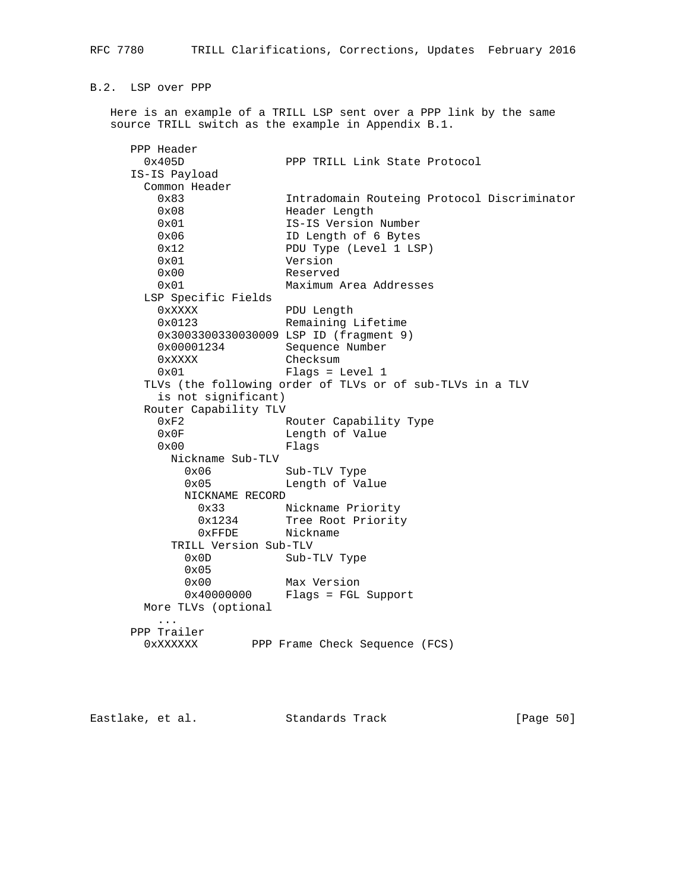B.2. LSP over PPP

 Here is an example of a TRILL LSP sent over a PPP link by the same source TRILL switch as the example in Appendix B.1.

 PPP Header PPP TRILL Link State Protocol IS-IS Payload Common Header 0x83 Intradomain Routeing Protocol Discriminator 0x08 Header Length 0x01 IS-IS Version Number 0x06 ID Length of 6 Bytes 0x12 PDU Type (Level 1 LSP) 0x01 Version 0x00 Reserved 0x01 Maximum Area Addresses LSP Specific Fields 0xXXXX PDU Length 0x0123 Remaining Lifetime 0x3003300330030009 LSP ID (fragment 9) 0x00001234 Sequence Number 0xXXXX Checksum 0x01 Flags = Level 1 TLVs (the following order of TLVs or of sub-TLVs in a TLV is not significant) Router Capability TLV 0xF2 Router Capability Type<br>0x0F 1ength of Value Length of Value 0x00 Flags Nickname Sub-TLV 0x06 Sub-TLV Type 0x05 Length of Value NICKNAME RECORD 0x33 Nickname Priority 0x1234 Tree Root Priority 0xFFDE Nickname TRILL Version Sub-TLV 0x0D Sub-TLV Type 0x05 0x00 Max Version 0x40000000 Flags = FGL Support More TLVs (optional ... PPP Trailer 0xXXXXXX PPP Frame Check Sequence (FCS)

Eastlake, et al. Standards Track [Page 50]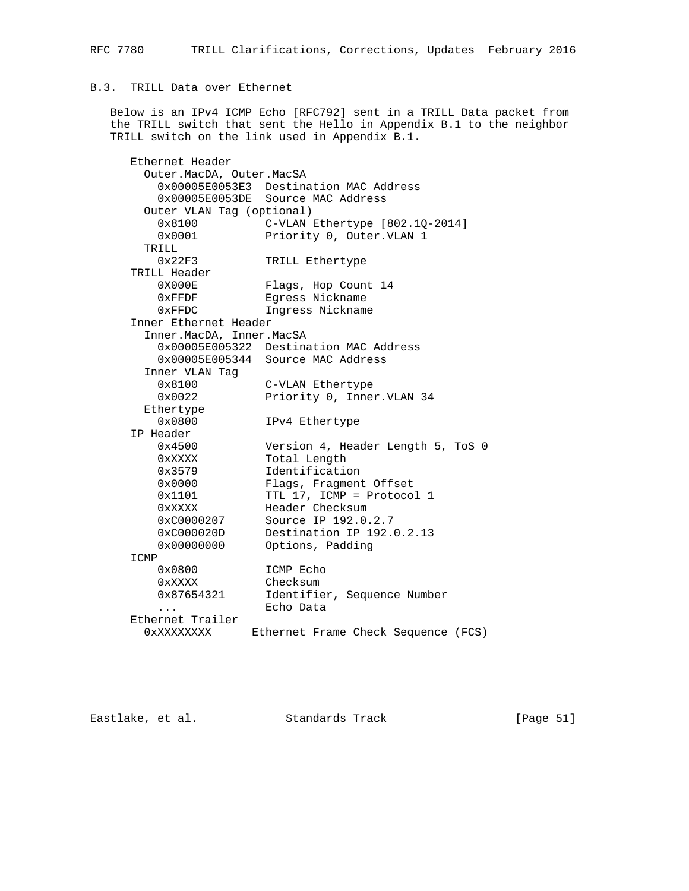## B.3. TRILL Data over Ethernet

 Below is an IPv4 ICMP Echo [RFC792] sent in a TRILL Data packet from the TRILL switch that sent the Hello in Appendix B.1 to the neighbor TRILL switch on the link used in Appendix B.1.

 Ethernet Header Outer.MacDA, Outer.MacSA 0x00005E0053E3 Destination MAC Address 0x00005E0053DE Source MAC Address Outer VLAN Tag (optional) 0x8100 C-VLAN Ethertype [802.1Q-2014] 0x0001 Priority 0, Outer.VLAN 1 TRILL 0x22F3 TRILL Ethertype TRILL Header Flags, Hop Count 14 0xFFDF Egress Nickname 0xFFDC Ingress Nickname Inner Ethernet Header Inner.MacDA, Inner.MacSA 0x00005E005322 Destination MAC Address 0x00005E005344 Source MAC Address Inner VLAN Tag 0x8100 C-VLAN Ethertype<br>0x0022 Priority 0, Inner Priority 0, Inner.VLAN 34 Ethertype 0x0800 IPv4 Ethertype IP Header 0x4500 Version 4, Header Length 5, ToS 0 0xXXXX Total Length 0x3579 Identification 0x0000 Flags, Fragment Offset 0x1101 TTL 17, ICMP = Protocol 1 0xXXXX Header Checksum 0xC0000207 Source IP 192.0.2.7 0xC000020D Destination IP 192.0.2.13 0x00000000 Options, Padding ICMP 0x0800 ICMP Echo 0xXXXX Checksum 0x87654321 Identifier, Sequence Number ... Echo Data Ethernet Trailer 0xXXXXXXXX Ethernet Frame Check Sequence (FCS)

Eastlake, et al. Standards Track [Page 51]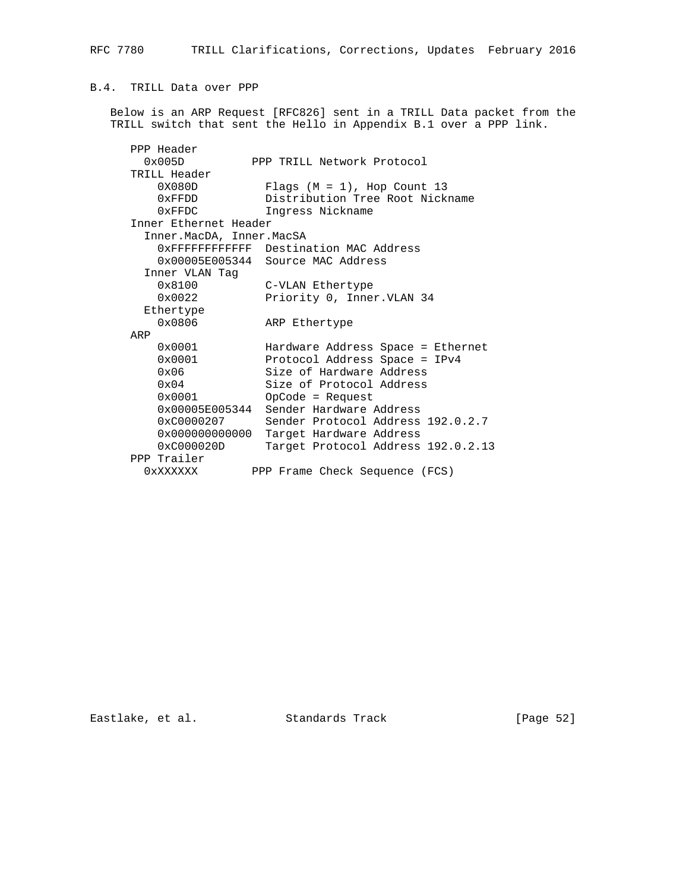# B.4. TRILL Data over PPP

 Below is an ARP Request [RFC826] sent in a TRILL Data packet from the TRILL switch that sent the Hello in Appendix B.1 over a PPP link.

| PPP Header               |                                         |
|--------------------------|-----------------------------------------|
| $0 \times 005D$          | PPP TRILL Network Protocol              |
| TRILL Header             |                                         |
| 0X080D                   | Flags $(M = 1)$ , Hop Count 13          |
| $0 \times$ FFDD          | Distribution Tree Root Nickname         |
| $0 \times$ FFDC          | Ingress Nickname                        |
| Inner Ethernet Header    |                                         |
| Inner.MacDA, Inner.MacSA |                                         |
|                          | OXFFFFFFFFFFFFF Destination MAC Address |
|                          | 0x00005E005344 Source MAC Address       |
| Inner VLAN Taq           |                                         |
| $0 \times 8100$          | C-VLAN Ethertype                        |
| 0x0022                   | Priority 0, Inner. VLAN 34              |
| Ethertype                |                                         |
| 0x0806                   | ARP Ethertype                           |
| ARP                      |                                         |
| $0 \times 0001$          | Hardware Address Space = Ethernet       |
| 0x0001                   | Protocol Address Space = IPv4           |
| $0 \times 06$            | Size of Hardware Address                |
| $0 \times 04$            | Size of Protocol Address                |
| $0 \times 0001$          | $OpCode = Request$                      |
| $0 \times 00005E005344$  | Sender Hardware Address                 |
| 0xC0000207               | Sender Protocol Address 192.0.2.7       |
| 0x000000000000           | Target Hardware Address                 |
| $0 \times C000020D$      | Target Protocol Address 192.0.2.13      |
| PPP Trailer              |                                         |
| 0xXXXXXX                 | PPP Frame Check Sequence (FCS)          |

Eastlake, et al. Standards Track [Page 52]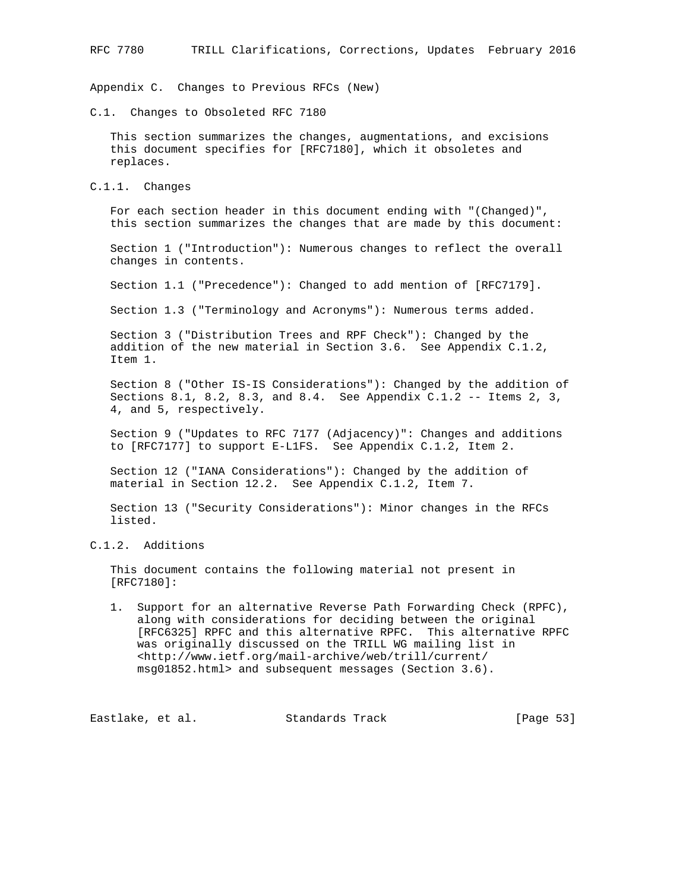Appendix C. Changes to Previous RFCs (New)

C.1. Changes to Obsoleted RFC 7180

 This section summarizes the changes, augmentations, and excisions this document specifies for [RFC7180], which it obsoletes and replaces.

C.1.1. Changes

 For each section header in this document ending with "(Changed)", this section summarizes the changes that are made by this document:

 Section 1 ("Introduction"): Numerous changes to reflect the overall changes in contents.

Section 1.1 ("Precedence"): Changed to add mention of [RFC7179].

Section 1.3 ("Terminology and Acronyms"): Numerous terms added.

 Section 3 ("Distribution Trees and RPF Check"): Changed by the addition of the new material in Section 3.6. See Appendix C.1.2, Item 1.

 Section 8 ("Other IS-IS Considerations"): Changed by the addition of Sections 8.1, 8.2, 8.3, and 8.4. See Appendix C.1.2 -- Items 2, 3, 4, and 5, respectively.

 Section 9 ("Updates to RFC 7177 (Adjacency)": Changes and additions to [RFC7177] to support E-L1FS. See Appendix C.1.2, Item 2.

 Section 12 ("IANA Considerations"): Changed by the addition of material in Section 12.2. See Appendix C.1.2, Item 7.

 Section 13 ("Security Considerations"): Minor changes in the RFCs listed.

# C.1.2. Additions

 This document contains the following material not present in [RFC7180]:

 1. Support for an alternative Reverse Path Forwarding Check (RPFC), along with considerations for deciding between the original [RFC6325] RPFC and this alternative RPFC. This alternative RPFC was originally discussed on the TRILL WG mailing list in <http://www.ietf.org/mail-archive/web/trill/current/ msg01852.html> and subsequent messages (Section 3.6).

Eastlake, et al. Standards Track [Page 53]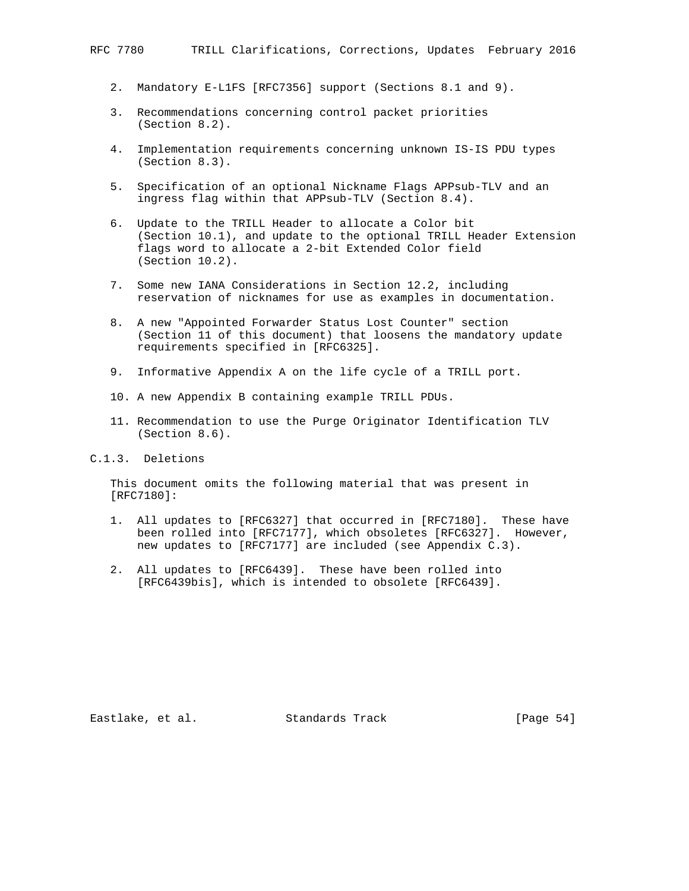- 2. Mandatory E-L1FS [RFC7356] support (Sections 8.1 and 9).
- 3. Recommendations concerning control packet priorities (Section 8.2).
- 4. Implementation requirements concerning unknown IS-IS PDU types (Section 8.3).
- 5. Specification of an optional Nickname Flags APPsub-TLV and an ingress flag within that APPsub-TLV (Section 8.4).
- 6. Update to the TRILL Header to allocate a Color bit (Section 10.1), and update to the optional TRILL Header Extension flags word to allocate a 2-bit Extended Color field (Section 10.2).
- 7. Some new IANA Considerations in Section 12.2, including reservation of nicknames for use as examples in documentation.
- 8. A new "Appointed Forwarder Status Lost Counter" section (Section 11 of this document) that loosens the mandatory update requirements specified in [RFC6325].
- 9. Informative Appendix A on the life cycle of a TRILL port.
- 10. A new Appendix B containing example TRILL PDUs.
- 11. Recommendation to use the Purge Originator Identification TLV (Section 8.6).

C.1.3. Deletions

 This document omits the following material that was present in [RFC7180]:

- 1. All updates to [RFC6327] that occurred in [RFC7180]. These have been rolled into [RFC7177], which obsoletes [RFC6327]. However, new updates to [RFC7177] are included (see Appendix C.3).
- 2. All updates to [RFC6439]. These have been rolled into [RFC6439bis], which is intended to obsolete [RFC6439].

Eastlake, et al. Standards Track [Page 54]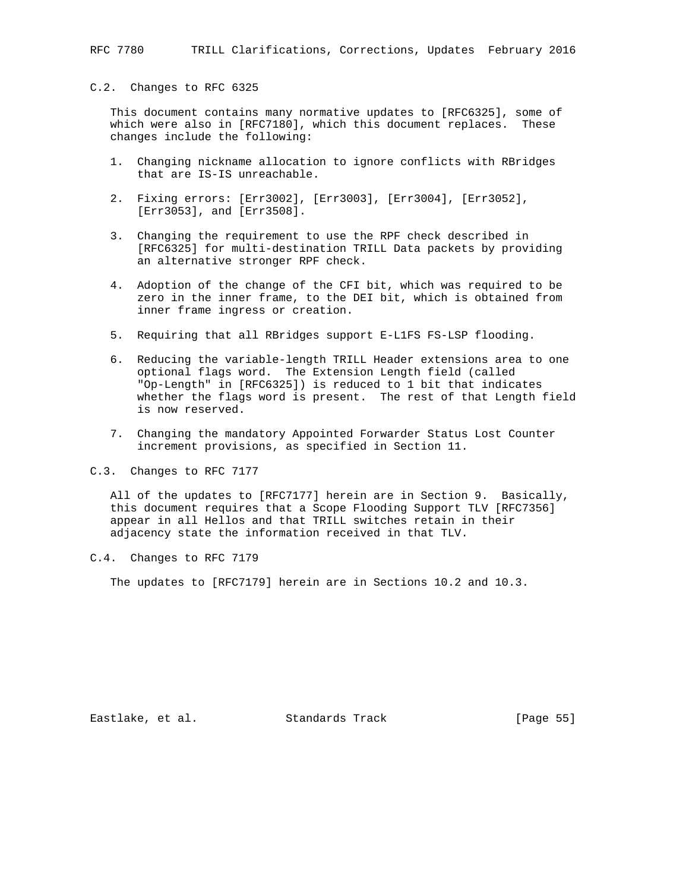#### C.2. Changes to RFC 6325

 This document contains many normative updates to [RFC6325], some of which were also in [RFC7180], which this document replaces. These changes include the following:

- 1. Changing nickname allocation to ignore conflicts with RBridges that are IS-IS unreachable.
- 2. Fixing errors: [Err3002], [Err3003], [Err3004], [Err3052], [Err3053], and [Err3508].
- 3. Changing the requirement to use the RPF check described in [RFC6325] for multi-destination TRILL Data packets by providing an alternative stronger RPF check.
- 4. Adoption of the change of the CFI bit, which was required to be zero in the inner frame, to the DEI bit, which is obtained from inner frame ingress or creation.
- 5. Requiring that all RBridges support E-L1FS FS-LSP flooding.
- 6. Reducing the variable-length TRILL Header extensions area to one optional flags word. The Extension Length field (called "Op-Length" in [RFC6325]) is reduced to 1 bit that indicates whether the flags word is present. The rest of that Length field is now reserved.
- 7. Changing the mandatory Appointed Forwarder Status Lost Counter increment provisions, as specified in Section 11.
- C.3. Changes to RFC 7177

 All of the updates to [RFC7177] herein are in Section 9. Basically, this document requires that a Scope Flooding Support TLV [RFC7356] appear in all Hellos and that TRILL switches retain in their adjacency state the information received in that TLV.

C.4. Changes to RFC 7179

The updates to [RFC7179] herein are in Sections 10.2 and 10.3.

Eastlake, et al. Standards Track [Page 55]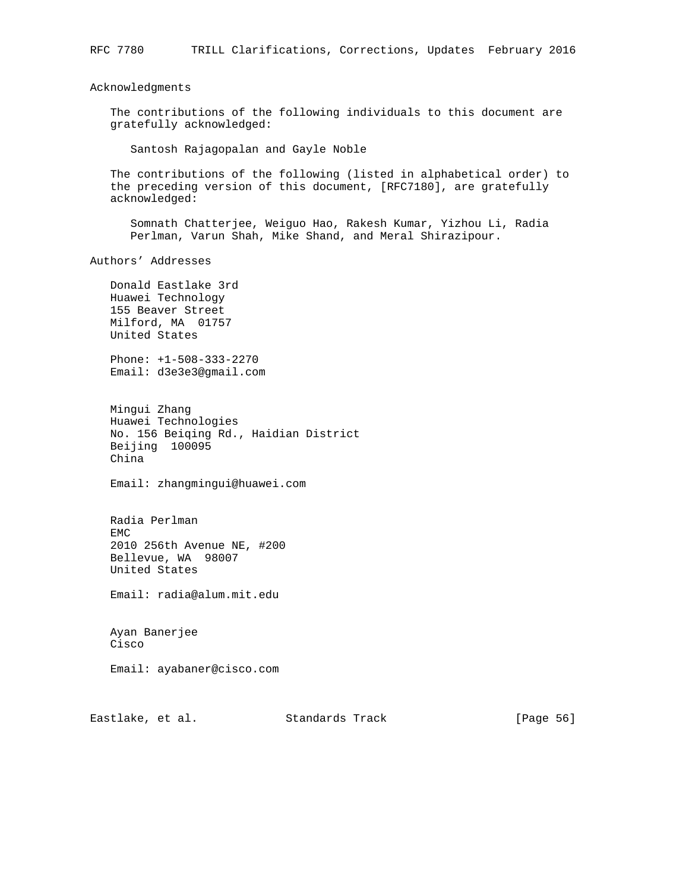Acknowledgments

 The contributions of the following individuals to this document are gratefully acknowledged:

Santosh Rajagopalan and Gayle Noble

 The contributions of the following (listed in alphabetical order) to the preceding version of this document, [RFC7180], are gratefully acknowledged:

 Somnath Chatterjee, Weiguo Hao, Rakesh Kumar, Yizhou Li, Radia Perlman, Varun Shah, Mike Shand, and Meral Shirazipour.

Authors' Addresses

 Donald Eastlake 3rd Huawei Technology 155 Beaver Street Milford, MA 01757 United States

 Phone: +1-508-333-2270 Email: d3e3e3@gmail.com

 Mingui Zhang Huawei Technologies No. 156 Beiqing Rd., Haidian District Beijing 100095 China

Email: zhangmingui@huawei.com

 Radia Perlman EMC 2010 256th Avenue NE, #200 Bellevue, WA 98007 United States

Email: radia@alum.mit.edu

 Ayan Banerjee Cisco

Email: ayabaner@cisco.com

Eastlake, et al. Standards Track [Page 56]